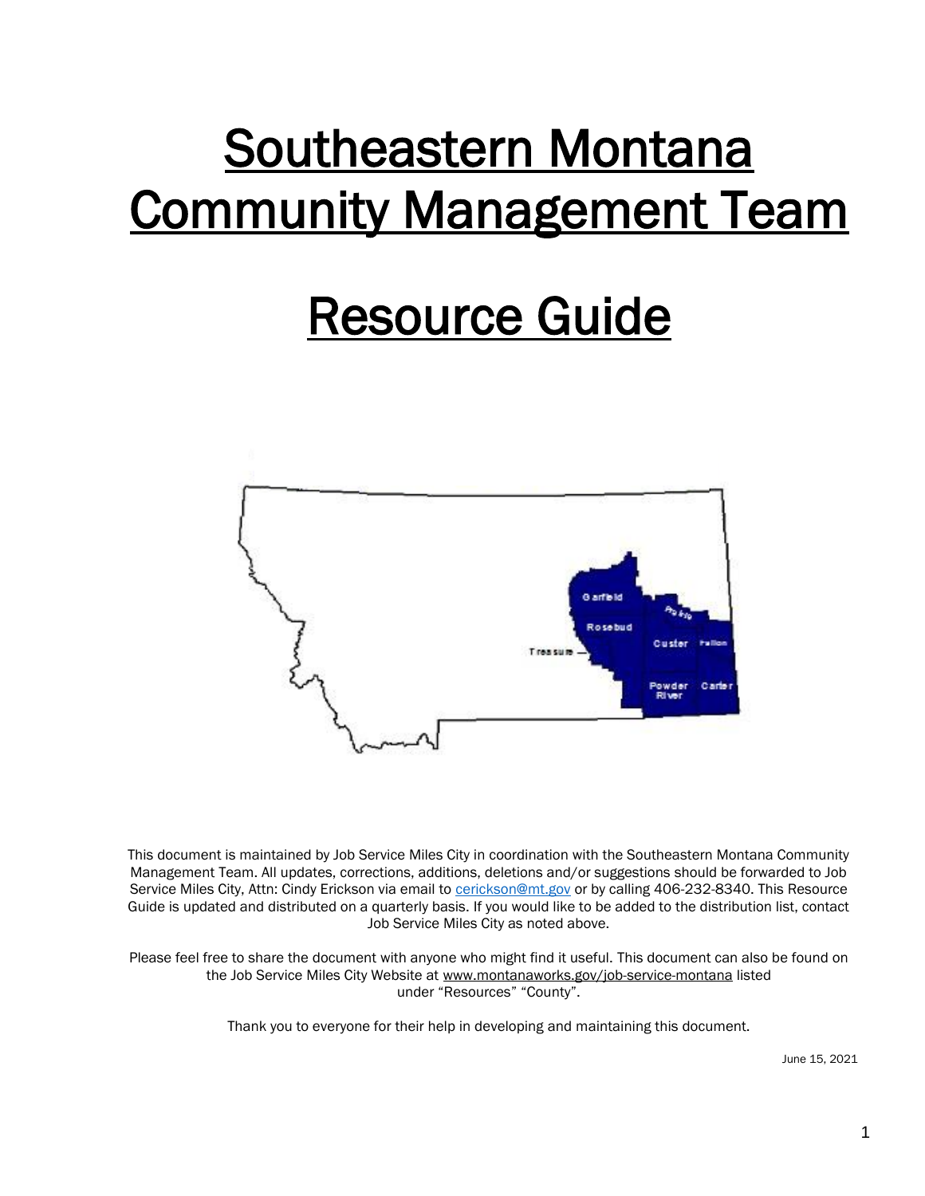# Southeastern Montana Community Management Team

# Resource Guide



This document is maintained by Job Service Miles City in coordination with the Southeastern Montana Community Management Team. All updates, corrections, additions, deletions and/or suggestions should be forwarded to Job Service Miles City, Attn: Cindy Erickson via email to [cerickson@mt.gov](mailto:cerickson@mt.gov) or by calling 406-232-8340. This Resource Guide is updated and distributed on a quarterly basis. If you would like to be added to the distribution list, contact Job Service Miles City as noted above.

Please feel free to share the document with anyone who might find it useful. This document can also be found on the Job Service Miles City Website at www.montanaworks.gov/job-service-montana listed under "Resources" "County".

Thank you to everyone for their help in developing and maintaining this document.

June 15, 2021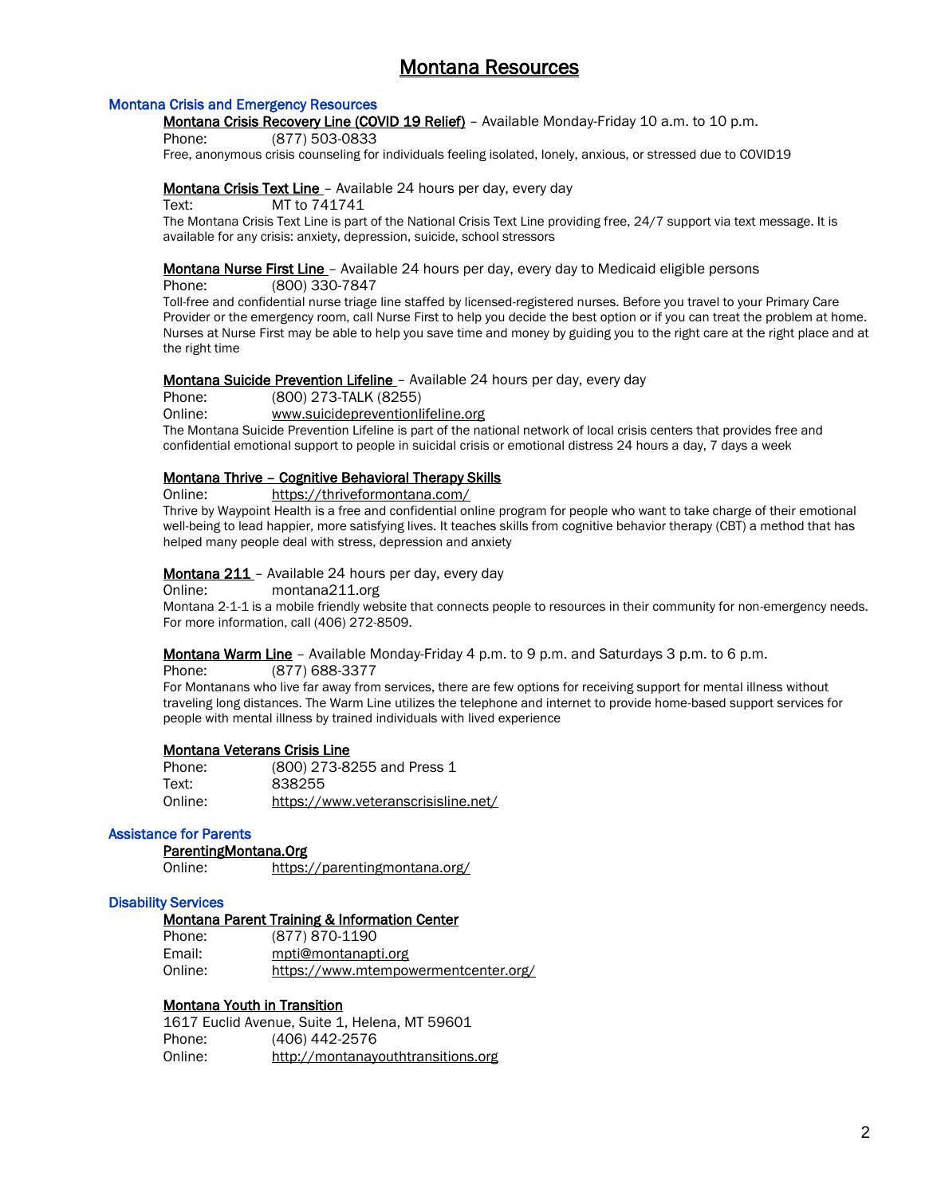# Montana Resources

## Montana Crisis and Emergency Resources

Montana Crisis Recovery Line (COVID 19 Relief) - Available Monday-Friday 10 a.m. to 10 p.m.

Phone: (877) 503-0833

Free, anonymous crisis counseling for individuals feeling isolated, lonely, anxious, or stressed due to COVID19

## Montana Crisis Text Line - Available 24 hours per day, every day

Text: MT to 741741

The Montana Crisis Text Line is part of the National Crisis Text Line providing free, 24/7 support via text message. It is available for any crisis: anxiety, depression, suicide, school stressors

## **Montana Nurse First Line** - Available 24 hours per day, every day to Medicaid eligible persons

Phone: (800) 330-7847

Toll-free and confidential nurse triage line staffed by licensed-registered nurses. Before you travel to your Primary Care Provider or the emergency room, call Nurse First to help you decide the best option or if you can treat the problem at home. Nurses at Nurse First may be able to help you save time and money by guiding you to the right care at the right place and at the right time

## Montana Suicide Prevention Lifeline - Available 24 hours per day, every day

Phone: (800) 273-TALK (8255)

Online: www.suicidepreventionlifeline.org

The Montana Suicide Prevention Lifeline is part of the national network of local crisis centers that provides free and confidential emotional support to people in suicidal crisis or emotional distress 24 hours a day, 7 days a week

## Montana Thrive – Cognitive Behavioral Therapy Skills

Online: <https://thriveformontana.com/>

Thrive by Waypoint Health is a free and confidential online program for people who want to take charge of their emotional well-being to lead happier, more satisfying lives. It teaches skills from cognitive behavior therapy (CBT) a method that has helped many people deal with stress, depression and anxiety

## Montana 211 - Available 24 hours per day, every day

Online: montana211.org

Montana 2-1-1 is a mobile friendly website that connects people to resources in their community for non-emergency needs. For more information, call (406) 272-8509.

Montana Warm Line - Available Monday-Friday 4 p.m. to 9 p.m. and Saturdays 3 p.m. to 6 p.m.

Phone: (877) 688-3377

For Montanans who live far away from services, there are few options for receiving support for mental illness without traveling long distances. The Warm Line utilizes the telephone and internet to provide home-based support services for people with mental illness by trained individuals with lived experience

## Montana Veterans Crisis Line

| Phone:  | (800) 273-8255 and Press 1          |
|---------|-------------------------------------|
| Text:   | 838255                              |
| Online: | https://www.veteranscrisisline.net/ |

## Assistance for Parents

## ParentingMontana.Org

Online: <https://parentingmontana.org/>

## Disability Services

## Montana Parent Training & Information Center

| Phone:  | (877) 870-1190                       |
|---------|--------------------------------------|
| Email:  | mpti@montanapti.org                  |
| Online: | https://www.mtempowermentcenter.org/ |

## Montana Youth in Transition

1617 Euclid Avenue, Suite 1, Helena, MT 59601 Phone: (406) 442-2576 Online: http://montanayouthtransitions.org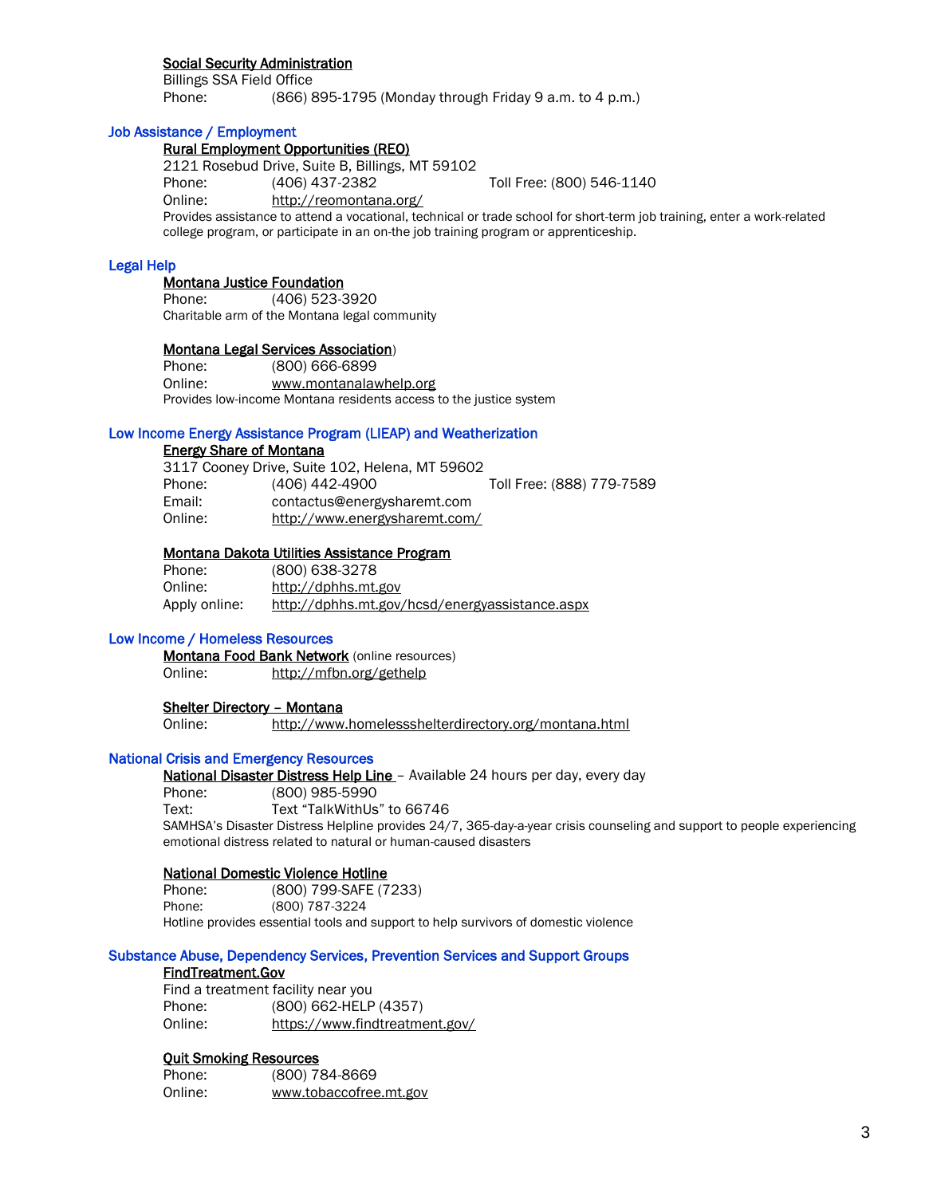## Social Security Administration

Billings SSA Field Office Phone: (866) 895-1795 (Monday through Friday 9 a.m. to 4 p.m.)

## Job Assistance / Employment

## Rural Employment Opportunities (REO)

2121 Rosebud Drive, Suite B, Billings, MT 59102

Phone: (406) 437-2382 Toll Free: (800) 546-1140

Online: http://reomontana.org/

Provides assistance to attend a vocational, technical or trade school for short-term job training, enter a work-related college program, or participate in an on-the job training program or apprenticeship.

## Legal Help

## Montana Justice Foundation

Phone: (406) 523-3920 Charitable arm of the Montana legal community

## Montana Legal Services Association)

Phone: (800) 666-6899 Online: www.montanalawhelp.org Provides low-income Montana residents access to the justice system

## Low Income Energy Assistance Program (LIEAP) and Weatherization

## Energy Share of Montana

|         | 3117 Cooney Drive, Suite 102, Helena, MT 59602 |                           |
|---------|------------------------------------------------|---------------------------|
| Phone:  | (406) 442-4900                                 | Toll Free: (888) 779-7589 |
| Email:  | contactus@energysharemt.com                    |                           |
| Online: | http://www.energysharemt.com/                  |                           |

## Montana Dakota Utilities Assistance Program

| Phone:        | (800) 638-3278                                 |
|---------------|------------------------------------------------|
| Online:       | http://dphhs.mt.gov                            |
| Apply online: | http://dphhs.mt.gov/hcsd/energyassistance.aspx |

## Low Income / Homeless Resources

**Montana Food Bank Network** (online resources) Online: http://mfbn.org/gethelp

## Shelter Directory – Montana

Online: http://www.homelessshelterdirectory.org/montana.html

# National Crisis and Emergency Resources

National Disaster Distress Help Line - Available 24 hours per day, every day

Phone: (800) 985-5990 Text: Text "TalkWithUs" to 66746 SAMHSA's Disaster Distress Helpline provides 24/7, 365-day-a-year crisis counseling and support to people experiencing emotional distress related to natural or human-caused disasters

## National Domestic Violence Hotline

Phone: (800) 799-SAFE (7233) Phone: (800) 787-3224 Hotline provides essential tools and support to help survivors of domestic violence

## Substance Abuse, Dependency Services, Prevention Services and Support Groups

## FindTreatment.Gov

Find a treatment facility near you Phone: (800) 662-HELP (4357) Online: <https://www.findtreatment.gov/>

## Quit Smoking Resources

| Phone:  | (800) 784-8669         |
|---------|------------------------|
| Online: | www.tobaccofree.mt.gov |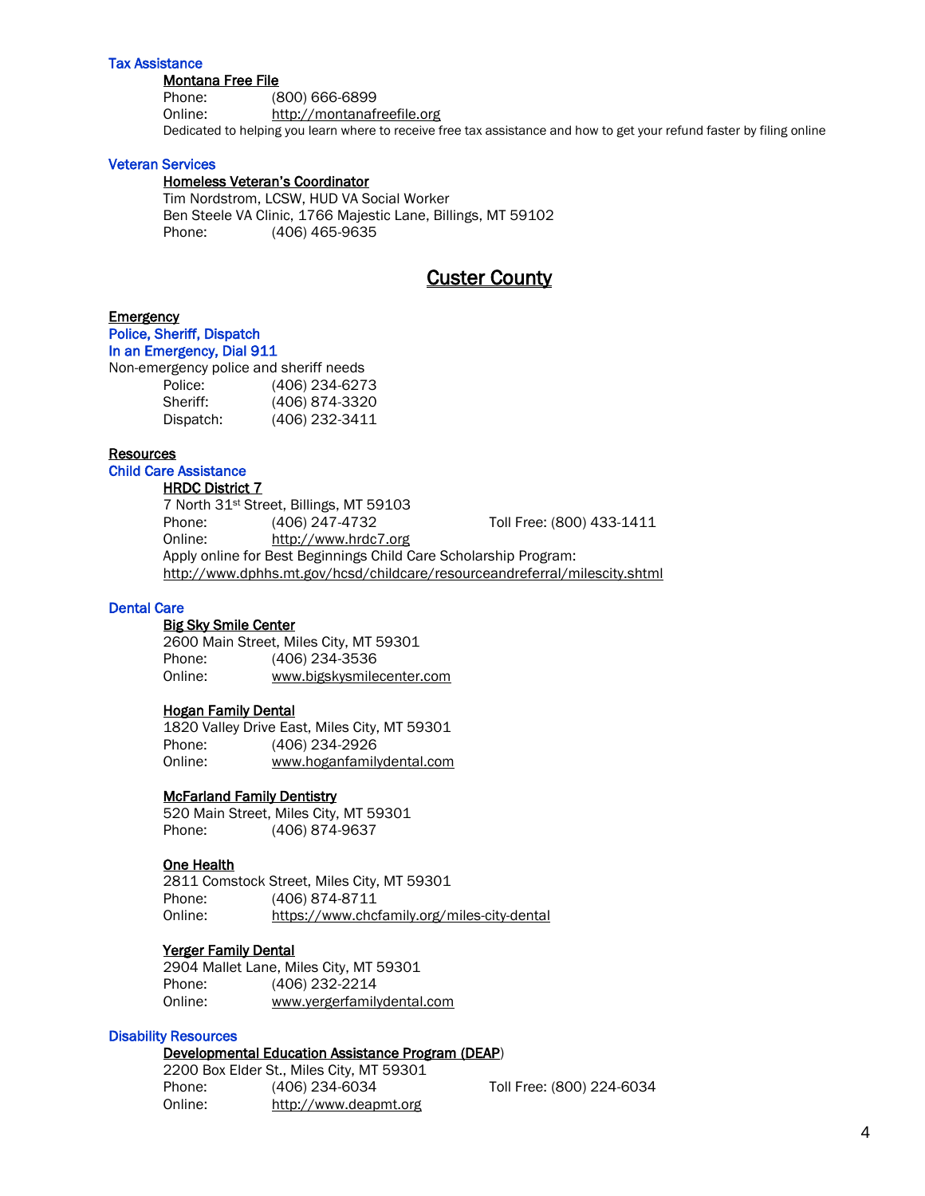## Tax Assistance

#### Montana Free File

Phone: (800) 666-6899 Online: http://montanafreefile.org Dedicated to helping you learn where to receive free tax assistance and how to get your refund faster by filing online

## Veteran Services

## Homeless Veteran's Coordinator

Tim Nordstrom, LCSW, HUD VA Social Worker Ben Steele VA Clinic, 1766 Majestic Lane, Billings, MT 59102 Phone: (406) 465-9635

# Custer County

## **Emergency**

# Police, Sheriff, Dispatch

In an Emergency, Dial 911

| Non-emergency police and sheriff needs |                |
|----------------------------------------|----------------|
| Police:                                | (406) 234-6273 |
| Sheriff:                               | (406) 874-3320 |
| Dispatch:                              | (406) 232-3411 |

## **Resources**

# Child Care Assistance

# **HRDC District 7**

7 North 31st Street, Billings, MT 59103 Phone: (406) 247-4732 Toll Free: (800) 433-1411 Online: [http://www.hrdc7.org](http://www.hrdc7.org/) Apply online for Best Beginnings Child Care Scholarship Program: <http://www.dphhs.mt.gov/hcsd/childcare/resourceandreferral/milescity.shtml>

## Dental Care

## Big Sky Smile Center

2600 Main Street, Miles City, MT 59301 Phone: (406) 234-3536 Online: www.bigskysmilecenter.com

## Hogan Family Dental

1820 Valley Drive East, Miles City, MT 59301 Phone: (406) 234-2926 Online: www.hoganfamilydental.com

## McFarland Family Dentistry

520 Main Street, Miles City, MT 59301 Phone: (406) 874-9637

## One Health

2811 Comstock Street, Miles City, MT 59301 Phone: (406) 874-8711 Online: <https://www.chcfamily.org/miles-city-dental>

## Yerger Family Dental

2904 Mallet Lane, Miles City, MT 59301 Phone: (406) 232-2214 Online: www.yergerfamilydental.com

## Disability Resources

## Developmental Education Assistance Program (DEAP)

2200 Box Elder St., Miles City, MT 59301 Phone: (406) 234-6034 Toll Free: (800) 224-6034 Online: [http://www.deapmt.org](http://www.deapmt.org/)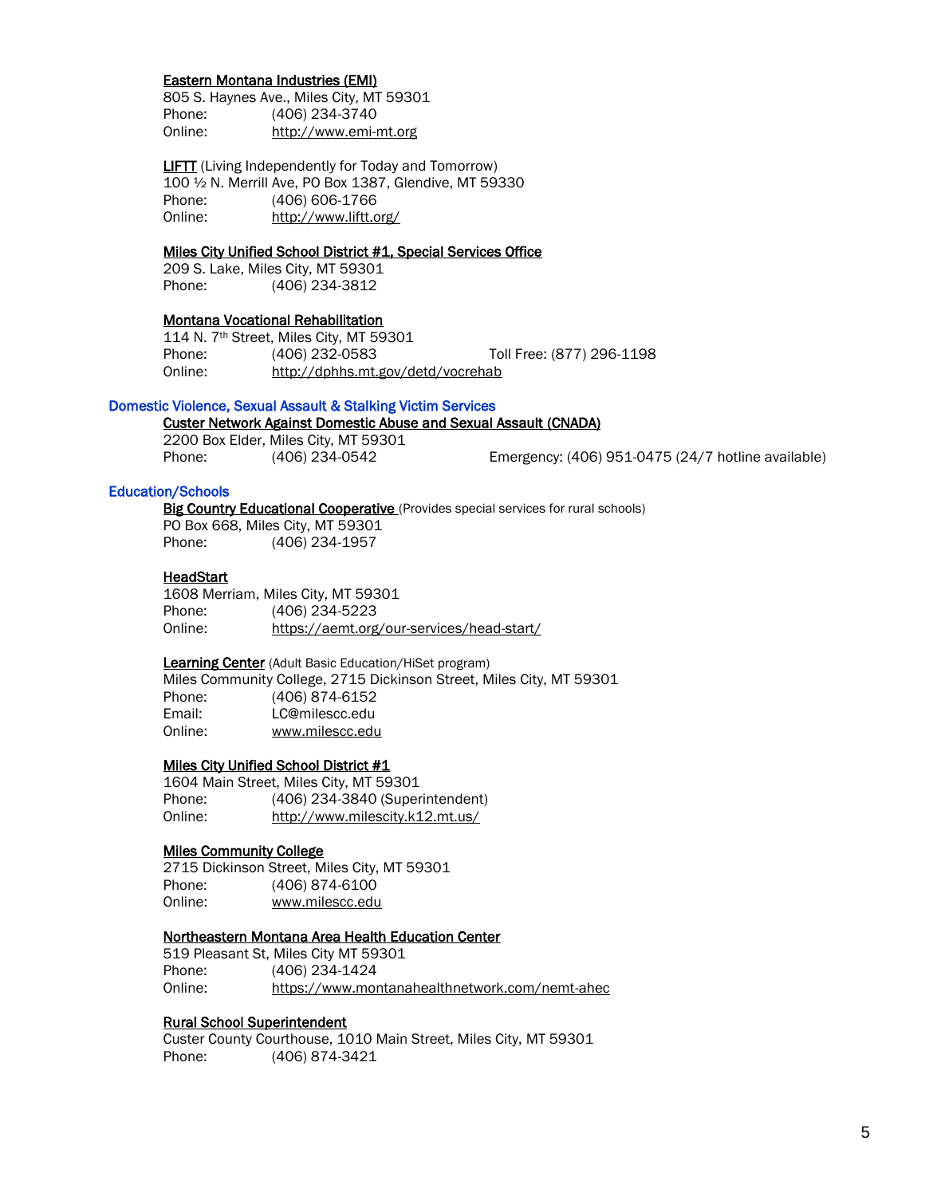## Eastern Montana Industries (EMI)

805 S. Haynes Ave., Miles City, MT 59301 Phone: (406) 234-3740 Online: [http://www.emi-mt.org](http://www.emi-mt.org/)

**LIFTT** (Living Independently for Today and Tomorrow) 100 ½ N. Merrill Ave, PO Box 1387, Glendive, MT 59330 Phone: (406) 606-1766 Online: <http://www.liftt.org/>

## Miles City Unified School District #1, Special Services Office

209 S. Lake, Miles City, MT 59301 Phone: (406) 234-3812

## Montana Vocational Rehabilitation

114 N. 7th Street, Miles City, MT 59301 Phone: (406) 232-0583 Toll Free: (877) 296-1198 Online: http://dphhs.mt.gov/detd/vocrehab

## Domestic Violence, Sexual Assault & Stalking Victim Services

## Custer Network Against Domestic Abuse and Sexual Assault (CNADA)

2200 Box Elder, Miles City, MT 59301 Phone: (406) 234-0542 Emergency: (406) 951-0475 (24/7 hotline available)

## Education/Schools

Big Country Educational Cooperative (Provides special services for rural schools)

PO Box 668, Miles City, MT 59301 Phone: (406) 234-1957

#### **HeadStart**

1608 Merriam, Miles City, MT 59301 Phone: (406) 234-5223 Online: https://aemt.org/our-services/head-start/

#### Learning Center (Adult Basic Education/HiSet program)

 Miles Community College, 2715 Dickinson Street, Miles City, MT 59301 Phone: (406) 874-6152 Email: LC@milescc.edu Online: www.milescc.edu

#### Miles City Unified School District #1

1604 Main Street, Miles City, MT 59301 Phone: (406) 234-3840 (Superintendent) Online: http://www.milescity.k12.mt.us/

## Miles Community College

2715 Dickinson Street, Miles City, MT 59301 Phone: (406) 874-6100 Online: www.milescc.edu

#### Northeastern Montana Area Health Education Center

519 Pleasant St, Miles City MT 59301 Phone: (406) 234-1424 Online: <https://www.montanahealthnetwork.com/nemt-ahec>

## Rural School Superintendent

Custer County Courthouse, 1010 Main Street, Miles City, MT 59301 Phone: (406) 874-3421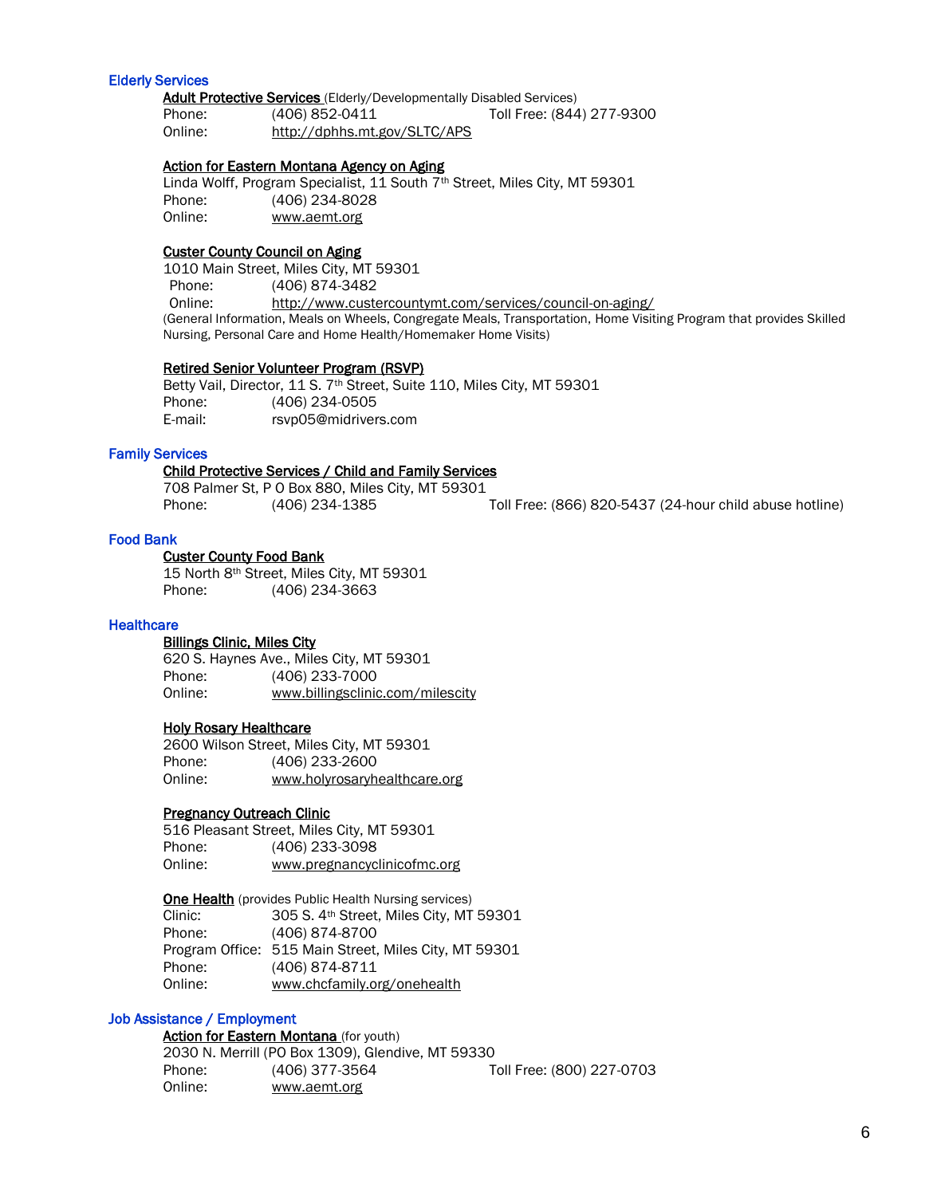## Elderly Services

Adult Protective Services (Elderly/Developmentally Disabled Services)<br>Phone: (406) 852-0411 Toll Free: (844 Phone: (406) 852-0411 Toll Free: (844) 277-9300 Online: http://dphhs.mt.gov/SLTC/APS

## Action for Eastern Montana Agency on Aging

Linda Wolff, Program Specialist, 11 South 7<sup>th</sup> Street, Miles City, MT 59301 Phone: (406) 234-8028 Online: www.aemt.org

## Custer County Council on Aging

1010 Main Street, Miles City, MT 59301 Phone: (406) 874-3482 Online: <http://www.custercountymt.com/services/council-on-aging/> (General Information, Meals on Wheels, Congregate Meals, Transportation, Home Visiting Program that provides Skilled Nursing, Personal Care and Home Health/Homemaker Home Visits)

#### Retired Senior Volunteer Program (RSVP)

Betty Vail, Director, 11 S. 7<sup>th</sup> Street, Suite 110, Miles City, MT 59301 Phone: (406) 234-0505 E-mail: [rsvp05@midrivers.com](mailto:rsvp05@midrivers.com)

## Family Services

#### Child Protective Services / Child and Family Services

708 Palmer St, P O Box 880, Miles City, MT 59301 Phone: (406) 234-1385 Toll Free: (866) 820-5437 (24-hour child abuse hotline)

## Food Bank

#### Custer County Food Bank

15 North 8th Street, Miles City, MT 59301 Phone: (406) 234-3663

#### **Healthcare**

## Billings Clinic, Miles City

 620 S. Haynes Ave., Miles City, MT 59301 Phone: (406) 233-7000 Online: www.billingsclinic.com/milescity

## Holy Rosary Healthcare

2600 Wilson Street, Miles City, MT 59301 Phone: (406) 233-2600 Online: www.holyrosaryhealthcare.org

## Pregnancy Outreach Clinic

516 Pleasant Street, Miles City, MT 59301 Phone: (406) 233-3098 Online: www.pregnancyclinicofmc.org

One Health (provides Public Health Nursing services)

Clinic: 305 S. 4th Street, Miles City, MT 59301 Phone: (406) 874-8700 Program Office: 515 Main Street, Miles City, MT 59301 Phone: (406) 874-8711 Online: www.chcfamily.org/onehealth

## Job Assistance / Employment

Action for Eastern Montana (for youth) 2030 N. Merrill (PO Box 1309), Glendive, MT 59330 Phone: (406) 377-3564 Toll Free: (800) 227-0703 Online: www.aemt.org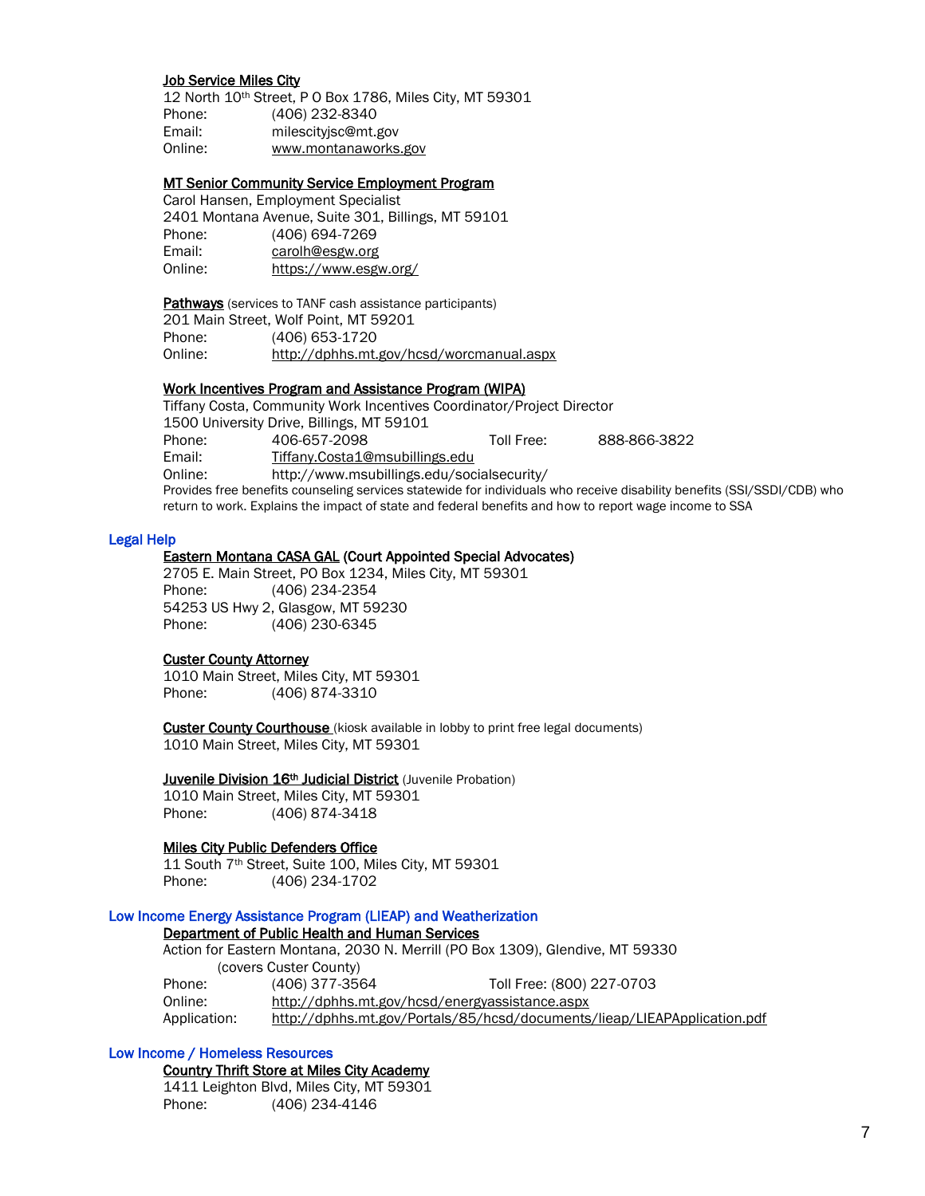## Job Service Miles City

12 North 10th Street, P O Box 1786, Miles City, MT 59301 Phone: (406) 232-8340 Email: milescityjsc@mt.gov Online: www.montanaworks.gov

## MT Senior Community Service Employment Program

Carol Hansen, Employment Specialist 2401 Montana Avenue, Suite 301, Billings, MT 59101 Phone: (406) 694-7269 Email: [carolh@esgw.org](mailto:carolh@esgw.org) Online: <https://www.esgw.org/>

Pathways (services to TANF cash assistance participants) 201 Main Street, Wolf Point, MT 59201 Phone: (406) 653-1720 Online: http://dphhs.mt.gov/hcsd/worcmanual.aspx

 Work Incentives Program and Assistance Program (WIPA) Tiffany Costa, Community Work Incentives Coordinator/Project Director 1500 University Drive, Billings, MT 59101 Phone: 406-657-2098 Toll Free: 888-866-3822 Email: [Tiffany.Costa1@msubillings.edu](mailto:Tiffany.Costa1@msubillings.edu) Online: http://www.msubillings.edu/socialsecurity/ Provides free benefits counseling services statewide for individuals who receive disability benefits (SSI/SSDI/CDB) who return to work. Explains the impact of state and federal benefits and how to report wage income to SSA

#### Legal Help

## Eastern Montana CASA GAL (Court Appointed Special Advocates)

2705 E. Main Street, PO Box 1234, Miles City, MT 59301 Phone: (406) 234-2354 54253 US Hwy 2, Glasgow, MT 59230 Phone: (406) 230-6345

## Custer County Attorney

1010 Main Street, Miles City, MT 59301 Phone: (406) 874-3310

**Custer County Courthouse** (kiosk available in lobby to print free legal documents) 1010 Main Street, Miles City, MT 59301

#### Juvenile Division 16<sup>th</sup> Judicial District (Juvenile Probation)

1010 Main Street, Miles City, MT 59301 Phone: (406) 874-3418

## Miles City Public Defenders Office

11 South 7<sup>th</sup> Street, Suite 100, Miles City, MT 59301 Phone: (406) 234-1702

## Low Income Energy Assistance Program (LIEAP) and Weatherization

#### Department of Public Health and Human Services

Action for Eastern Montana, 2030 N. Merrill (PO Box 1309), Glendive, MT 59330 (covers Custer County) Phone: (406) 377-3564 Toll Free: (800) 227-0703 Online: <http://dphhs.mt.gov/hcsd/energyassistance.aspx> Application: <http://dphhs.mt.gov/Portals/85/hcsd/documents/lieap/LIEAPApplication.pdf>

## Low Income / Homeless Resources

Country Thrift Store at Miles City Academy 1411 Leighton Blvd, Miles City, MT 59301 Phone: (406) 234-4146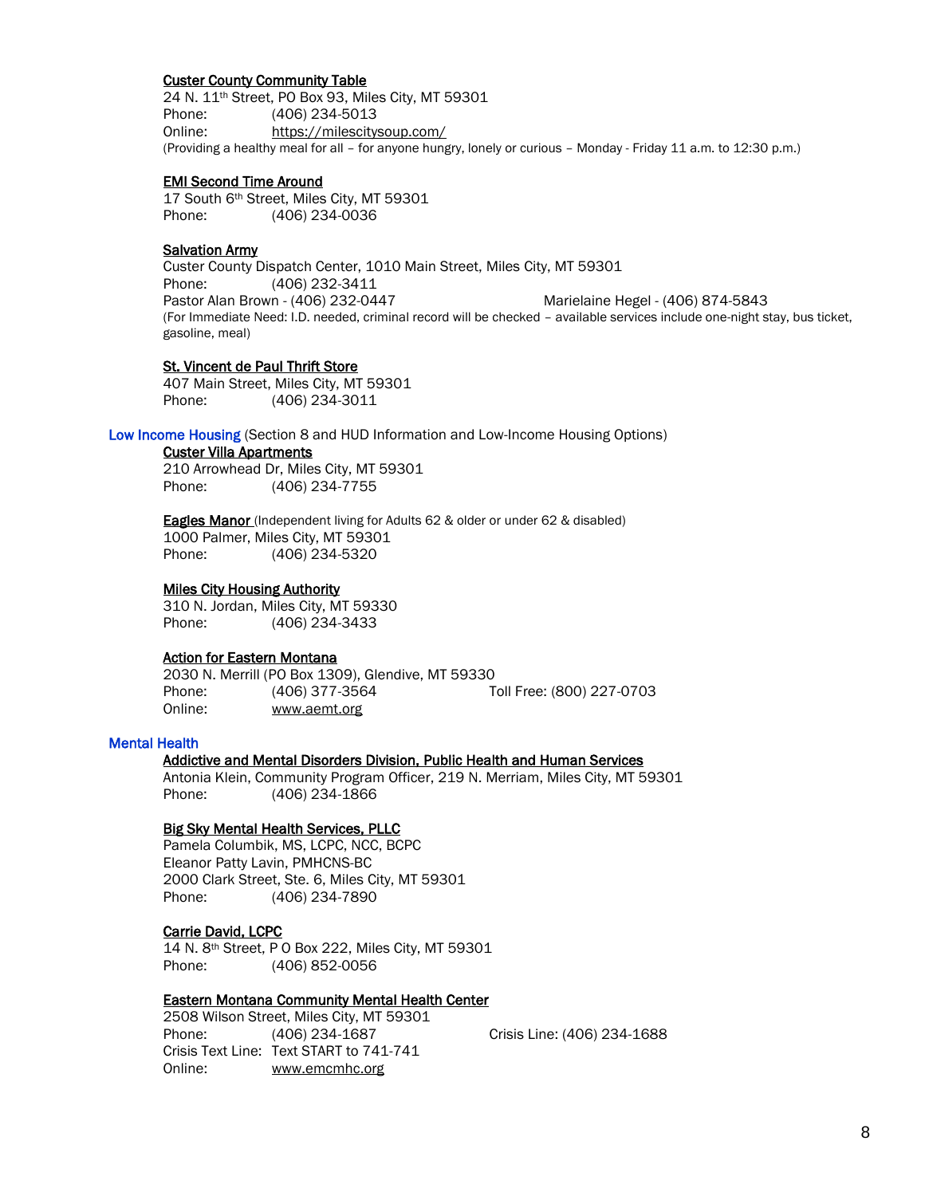#### Custer County Community Table

 24 N. 11th Street, PO Box 93, Miles City, MT 59301 Phone: (406) 234-5013 Online: https://milescitysoup.com/ (Providing a healthy meal for all – for anyone hungry, lonely or curious – Monday - Friday 11 a.m. to 12:30 p.m.)

## EMI Second Time Around

17 South 6th Street, Miles City, MT 59301 Phone: (406) 234-0036

## **Salvation Army**

Custer County Dispatch Center, 1010 Main Street, Miles City, MT 59301 Phone: (406) 232-3411 Pastor Alan Brown - (406) 232-0447 Marielaine Hegel - (406) 874-5843 (For Immediate Need: I.D. needed, criminal record will be checked – available services include one-night stay, bus ticket, gasoline, meal)

## St. Vincent de Paul Thrift Store

407 Main Street, Miles City, MT 59301 Phone: (406) 234-3011

#### Low Income Housing (Section 8 and HUD Information and Low-Income Housing Options)

#### Custer Villa Apartments

210 Arrowhead Dr, Miles City, MT 59301 Phone: (406) 234-7755

**Eagles Manor** (Independent living for Adults 62 & older or under 62 & disabled) 1000 Palmer, Miles City, MT 59301 Phone: (406) 234-5320

## Miles City Housing Authority

310 N. Jordan, Miles City, MT 59330 Phone: (406) 234-3433

#### Action for Eastern Montana

2030 N. Merrill (PO Box 1309), Glendive, MT 59330 Phone: (406) 377-3564 Toll Free: (800) 227-0703 Online: www.aemt.org

## Mental Health

## Addictive and Mental Disorders Division, Public Health and Human Services

Antonia Klein, Community Program Officer, 219 N. Merriam, Miles City, MT 59301 Phone: (406) 234-1866

#### Big Sky Mental Health Services, PLLC

Pamela Columbik, MS, LCPC, NCC, BCPC Eleanor Patty Lavin, PMHCNS-BC 2000 Clark Street, Ste. 6, Miles City, MT 59301 Phone: (406) 234-7890

#### Carrie David, LCPC

14 N. 8th Street, P O Box 222, Miles City, MT 59301 Phone: (406) 852-0056

## Eastern Montana Community Mental Health Center

2508 Wilson Street, Miles City, MT 59301 Phone: (406) 234-1687 Crisis Line: (406) 234-1688 Crisis Text Line: Text START to 741-741 Online: [www.emcmhc.org](http://www.emcmhc.org/)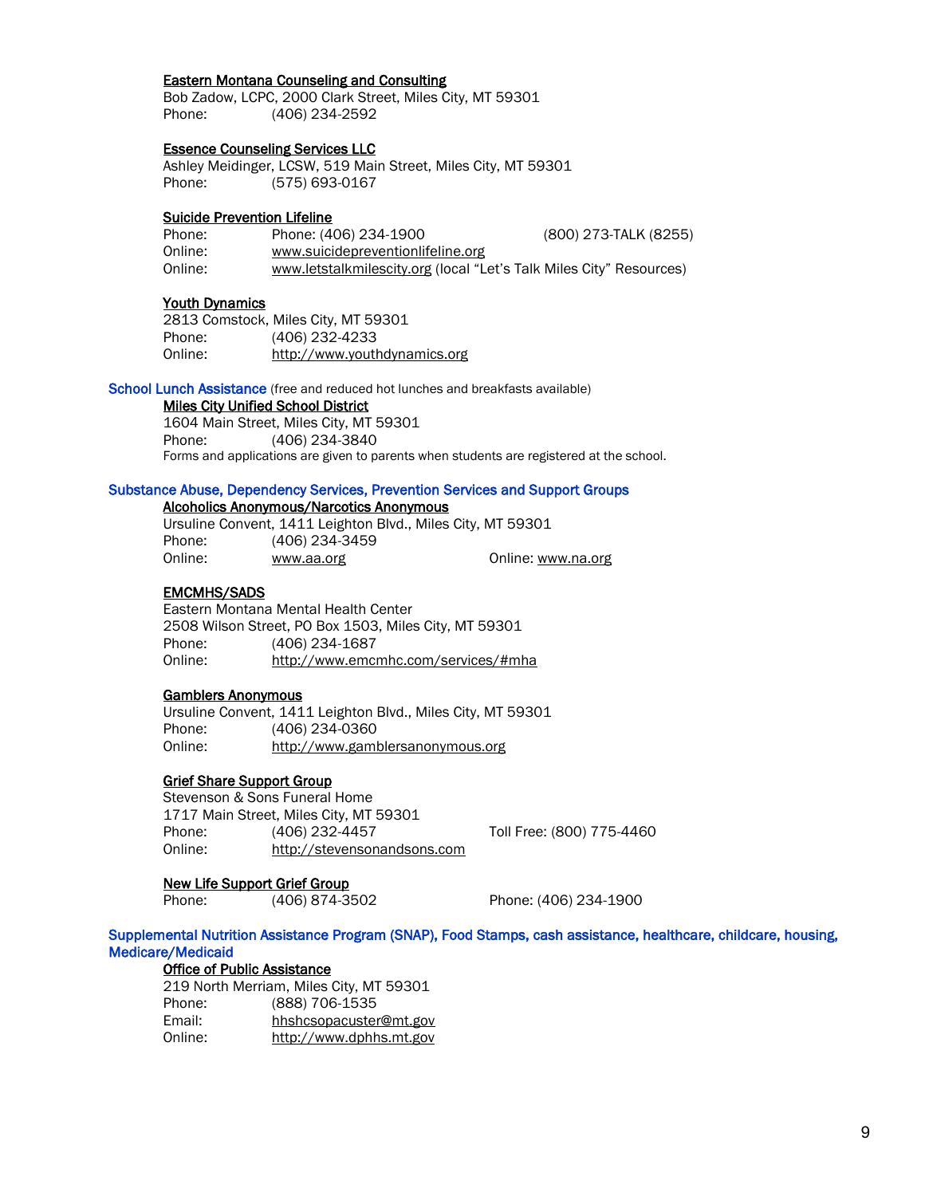## Eastern Montana Counseling and Consulting

Bob Zadow, LCPC, 2000 Clark Street, Miles City, MT 59301 Phone: (406) 234-2592

## Essence Counseling Services LLC

Ashley Meidinger, LCSW, 519 Main Street, Miles City, MT 59301 Phone: (575) 693-0167

## Suicide Prevention Lifeline

| Phone:  | Phone: (406) 234-1900                                               | (800) 273-TALK (8255) |
|---------|---------------------------------------------------------------------|-----------------------|
| Online: | www.suicidepreventionlifeline.org                                   |                       |
| Online: | www.letstalkmilescity.org (local "Let's Talk Miles City" Resources) |                       |

## Youth Dynamics

|         | 2813 Comstock, Miles City, MT 59301 |
|---------|-------------------------------------|
| Phone:  | (406) 232-4233                      |
| Online: | http://www.youthdynamics.org        |

School Lunch Assistance (free and reduced hot lunches and breakfasts available)

#### Miles City Unified School District

1604 Main Street, Miles City, MT 59301 Phone: (406) 234-3840 Forms and applications are given to parents when students are registered at the school.

## Substance Abuse, Dependency Services, Prevention Services and Support Groups

## Alcoholics Anonymous/Narcotics Anonymous

Ursuline Convent, 1411 Leighton Blvd., Miles City, MT 59301 Phone: (406) 234-3459 Online: [www.aa.org](http://www.aa.org/) Online: [www.na.org](http://www.na.org/)

#### EMCMHS/SADS

 Eastern Montana Mental Health Center 2508 Wilson Street, PO Box 1503, Miles City, MT 59301 Phone: (406) 234-1687 Online: http://www.emcmhc.com/services/#mha

#### Gamblers Anonymous

Ursuline Convent, 1411 Leighton Blvd., Miles City, MT 59301 Phone: (406) 234-0360 Online: [http://www.gamblersanonymous.org](http://www.gamblersanonymous.org/)

## Grief Share Support Group

Stevenson & Sons Funeral Home 1717 Main Street, Miles City, MT 59301 Phone: (406) 232-4457 Toll Free: (800) 775-4460 Online: http://stevensonandsons.com

## New Life Support Grief Group

Phone: (406) 874-3502 Phone: (406) 234-1900

Supplemental Nutrition Assistance Program (SNAP), Food Stamps, cash assistance, healthcare, childcare, housing, Medicare/Medicaid

Office of Public Assistance

|         | 219 North Merriam, Miles City, MT 59301 |
|---------|-----------------------------------------|
| Phone:  | (888) 706-1535                          |
| Email:  | hhshcsopacuster@mt.gov                  |
| Online: | http://www.dphhs.mt.gov                 |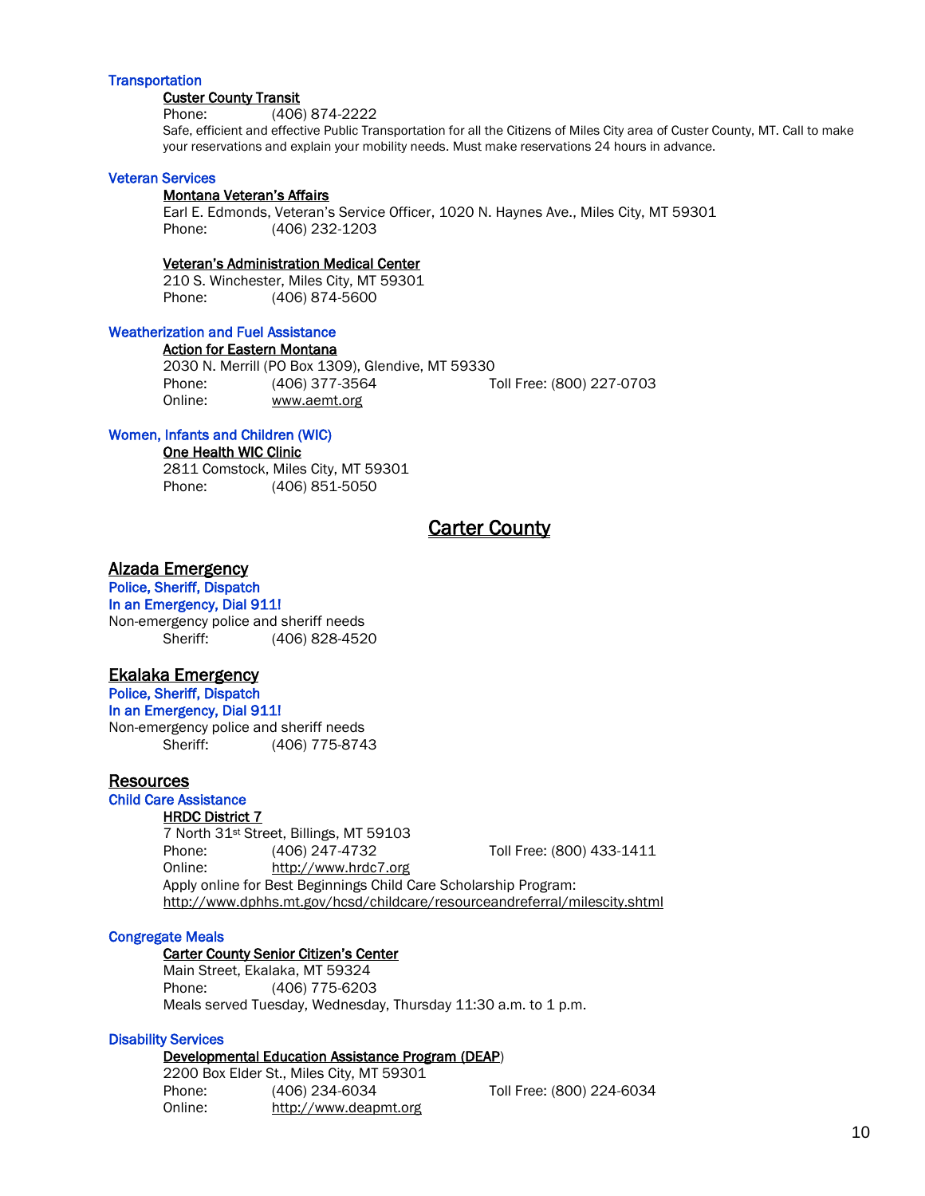## **Transportation**

#### Custer County Transit

Phone: (406) 874-2222

Safe, efficient and effective Public Transportation for all the Citizens of Miles City area of Custer County, MT. Call to make your reservations and explain your mobility needs. Must make reservations 24 hours in advance.

#### Veteran Services

#### Montana Veteran's Affairs

Earl E. Edmonds, Veteran's Service Officer, 1020 N. Haynes Ave., Miles City, MT 59301 Phone: (406) 232-1203

#### Veteran's Administration Medical Center

210 S. Winchester, Miles City, MT 59301 Phone: (406) 874-5600

## Weatherization and Fuel Assistance

## Action for Eastern Montana

2030 N. Merrill (PO Box 1309), Glendive, MT 59330 Phone: (406) 377-3564 Toll Free: (800) 227-0703 Online: www.aemt.org

## Women, Infants and Children (WIC)

#### One Health WIC Clinic

2811 Comstock, Miles City, MT 59301 Phone: (406) 851-5050

# **Carter County**

## Alzada Emergency

Police, Sheriff, Dispatch In an Emergency, Dial 911! Non-emergency police and sheriff needs Sheriff: (406) 828-4520

# Ekalaka Emergency

Police, Sheriff, Dispatch In an Emergency, Dial 911! Non-emergency police and sheriff needs Sheriff: (406) 775-8743

## Resources

Child Care Assistance

## HRDC District 7

7 North 31st Street, Billings, MT 59103 Phone: (406) 247-4732 Toll Free: (800) 433-1411 Online: [http://www.hrdc7.org](http://www.hrdc7.org/) Apply online for Best Beginnings Child Care Scholarship Program: <http://www.dphhs.mt.gov/hcsd/childcare/resourceandreferral/milescity.shtml>

#### Congregate Meals

## Carter County Senior Citizen's Center

Main Street, Ekalaka, MT 59324 Phone: (406) 775-6203 Meals served Tuesday, Wednesday, Thursday 11:30 a.m. to 1 p.m.

#### Disability Services

## Developmental Education Assistance Program (DEAP)

2200 Box Elder St., Miles City, MT 59301 Phone: (406) 234-6034 Toll Free: (800) 224-6034 Online: [http://www.deapmt.org](http://www.deapmt.org/)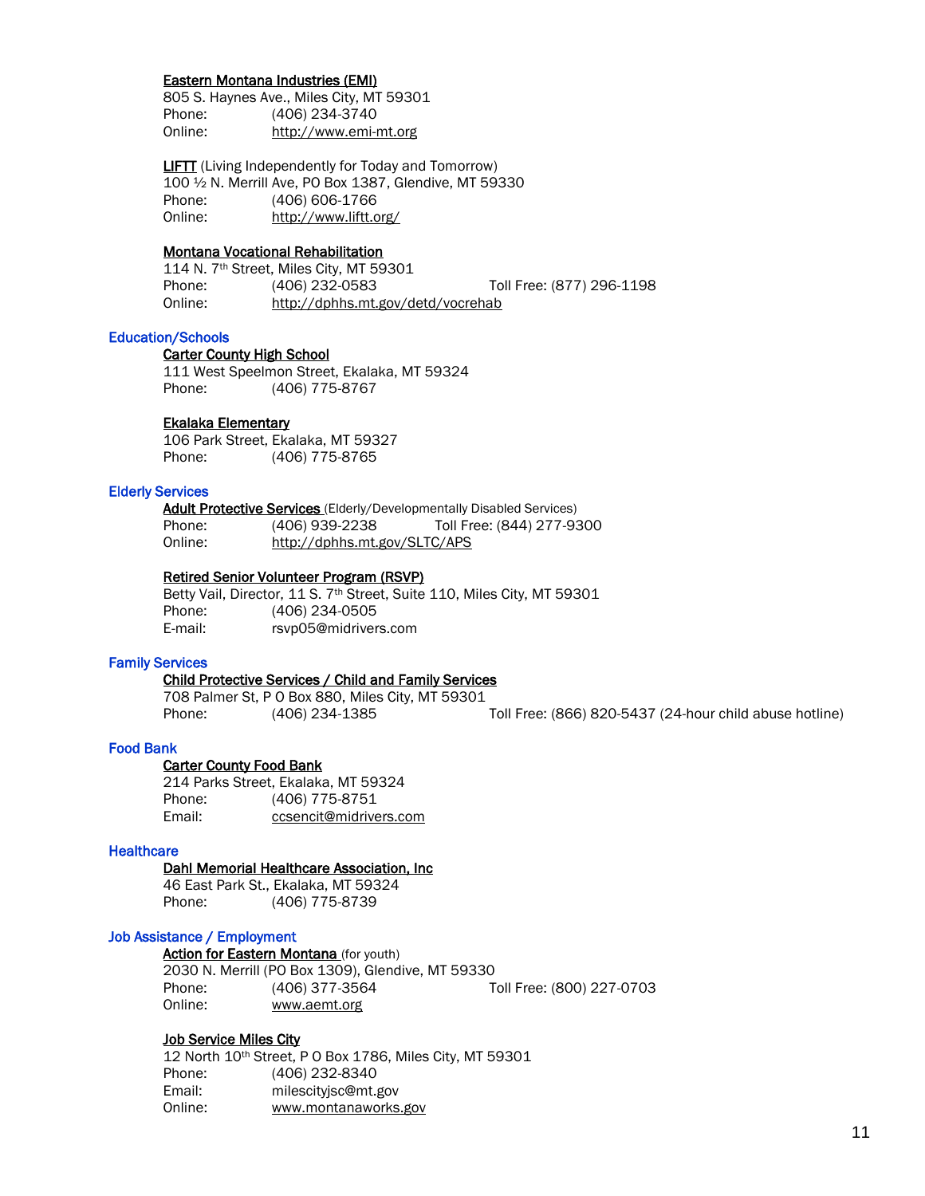#### Eastern Montana Industries (EMI)

805 S. Haynes Ave., Miles City, MT 59301 Phone: (406) 234-3740 Online: http://www.emi-mt.org

**LIFTT** (Living Independently for Today and Tomorrow) 100 ½ N. Merrill Ave, PO Box 1387, Glendive, MT 59330 Phone: (406) 606-1766 Online: <http://www.liftt.org/>

## Montana Vocational Rehabilitation

114 N. 7th Street, Miles City, MT 59301 Phone: (406) 232-0583 Toll Free: (877) 296-1198 Online: http://dphhs.mt.gov/detd/vocrehab

## Education/Schools

#### Carter County High School

111 West Speelmon Street, Ekalaka, MT 59324 Phone: (406) 775-8767

## Ekalaka Elementary

106 Park Street, Ekalaka, MT 59327 Phone: (406) 775-8765

## Elderly Services

**Adult Protective Services** (Elderly/Developmentally Disabled Services) Phone: (406) 939-2238 Toll Free: (844) 277-9300 Online: http://dphhs.mt.gov/SLTC/APS

#### Retired Senior Volunteer Program (RSVP)

Betty Vail, Director, 11 S. 7<sup>th</sup> Street, Suite 110, Miles City, MT 59301 Phone: (406) 234-0505 E-mail: [rsvp05@midrivers.com](mailto:rsvp05@midrivers.com)

## Family Services

## Child Protective Services / Child and Family Services

708 Palmer St, P O Box 880, Miles City, MT 59301 Phone: (406) 234-1385 Toll Free: (866) 820-5437 (24-hour child abuse hotline)

## Food Bank

 Carter County Food Bank 214 Parks Street, Ekalaka, MT 59324 Phone: (406) 775-8751 Email: ccsencit@midrivers.com

## **Healthcare**

## Dahl Memorial Healthcare Association, Inc

 46 East Park St., Ekalaka, MT 59324 Phone: (406) 775-8739

## Job Assistance / Employment

## Action for Eastern Montana (for youth)

2030 N. Merrill (PO Box 1309), Glendive, MT 59330 Phone: (406) 377-3564 Toll Free: (800) 227-0703 Online: www.aemt.org

#### Job Service Miles City

12 North 10th Street, P O Box 1786, Miles City, MT 59301 Phone: (406) 232-8340 Email: milescityjsc@mt.gov Online: www.montanaworks.gov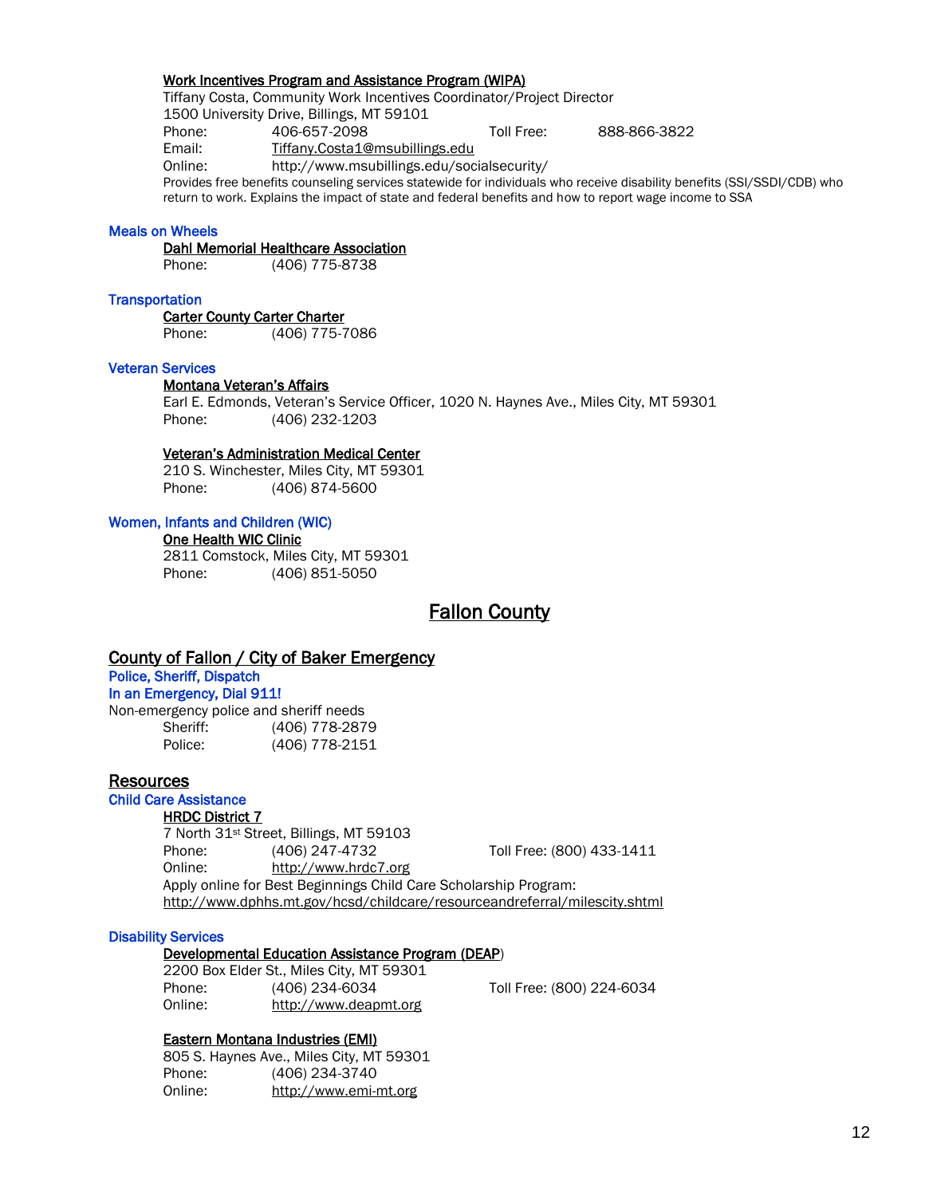## Work Incentives Program and Assistance Program (WIPA)

Tiffany Costa, Community Work Incentives Coordinator/Project Director

1500 University Drive, Billings, MT 59101

Phone: 406-657-2098 Toll Free: 888-866-3822

Email: [Tiffany.Costa1@msubillings.edu](mailto:Tiffany.Costa1@msubillings.edu)

Online: http://www.msubillings.edu/socialsecurity/

Provides free benefits counseling services statewide for individuals who receive disability benefits (SSI/SSDI/CDB) who return to work. Explains the impact of state and federal benefits and how to report wage income to SSA

## Meals on Wheels

Dahl Memorial Healthcare Association

Phone: (406) 775-8738

## **Transportation**

Carter County Carter Charter Phone: (406) 775-7086

## Veteran Services

## Montana Veteran's Affairs

Earl E. Edmonds, Veteran's Service Officer, 1020 N. Haynes Ave., Miles City, MT 59301 Phone: (406) 232-1203

## Veteran's Administration Medical Center

210 S. Winchester, Miles City, MT 59301 Phone: (406) 874-5600

## Women, Infants and Children (WIC)

 One Health WIC Clinic 2811 Comstock, Miles City, MT 59301 Phone: (406) 851-5050

# Fallon County

## County of Fallon / City of Baker Emergency

## Police, Sheriff, Dispatch In an Emergency, Dial 911!

Non-emergency police and sheriff needs Sheriff: (406) 778-2879 Police: (406) 778-2151

## Resources

Child Care Assistance

## HRDC District 7

7 North 31st Street, Billings, MT 59103 Phone: (406) 247-4732 Toll Free: (800) 433-1411 Online: [http://www.hrdc7.org](http://www.hrdc7.org/) Apply online for Best Beginnings Child Care Scholarship Program: <http://www.dphhs.mt.gov/hcsd/childcare/resourceandreferral/milescity.shtml>

## Disability Services

## Developmental Education Assistance Program (DEAP)

2200 Box Elder St., Miles City, MT 59301 Phone: (406) 234-6034 Toll Free: (800) 224-6034 Online: [http://www.deapmt.org](http://www.deapmt.org/)

## Eastern Montana Industries (EMI)

805 S. Haynes Ave., Miles City, MT 59301 Phone: (406) 234-3740 Online: http://www.emi-mt.org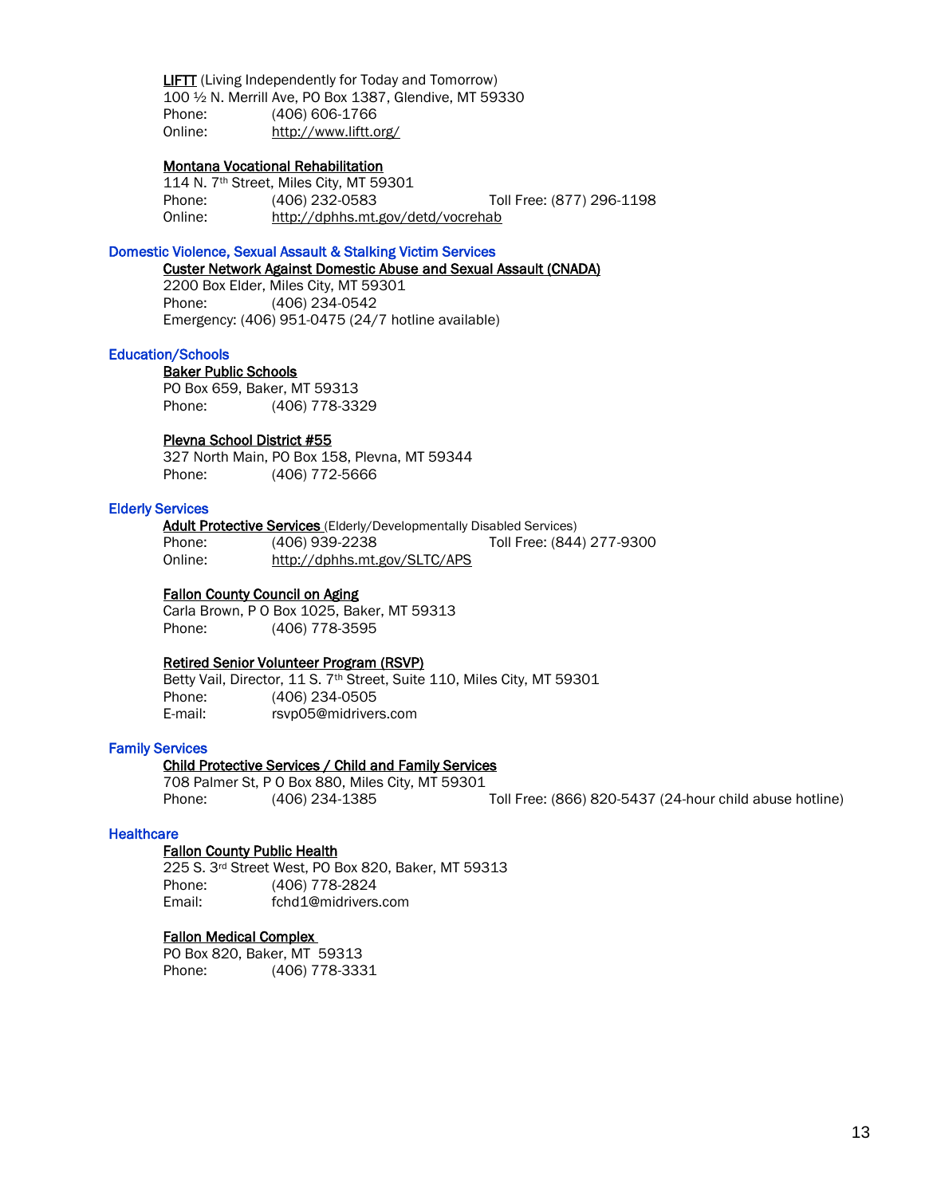LIFTT (Living Independently for Today and Tomorrow) 100 ½ N. Merrill Ave, PO Box 1387, Glendive, MT 59330 Phone: (406) 606-1766 Online: <http://www.liftt.org/>

## Montana Vocational Rehabilitation

114 N. 7th Street, Miles City, MT 59301 Phone: (406) 232-0583 Toll Free: (877) 296-1198 Online: http://dphhs.mt.gov/detd/vocrehab

## Domestic Violence, Sexual Assault & Stalking Victim Services

Custer Network Against Domestic Abuse and Sexual Assault (CNADA)

2200 Box Elder, Miles City, MT 59301 Phone: (406) 234-0542 Emergency: (406) 951-0475 (24/7 hotline available)

#### Education/Schools

 Baker Public Schools PO Box 659, Baker, MT 59313 Phone: (406) 778-3329

## Plevna School District #55

327 North Main, PO Box 158, Plevna, MT 59344 Phone: (406) 772-5666

## Elderly Services

Adult Protective Services (Elderly/Developmentally Disabled Services) Phone: (406) 939-2238 Toll Free: (844) 277-9300 Online: http://dphhs.mt.gov/SLTC/APS

## Fallon County Council on Aging

Carla Brown, P O Box 1025, Baker, MT 59313 Phone: (406) 778-3595

#### Retired Senior Volunteer Program (RSVP)

Betty Vail, Director, 11 S. 7<sup>th</sup> Street, Suite 110, Miles City, MT 59301 Phone: (406) 234-0505 E-mail: [rsvp05@midrivers.com](mailto:rsvp05@midrivers.com)

## Family Services

#### Child Protective Services / Child and Family Services

708 Palmer St, P O Box 880, Miles City, MT 59301 Phone: (406) 234-1385 Toll Free: (866) 820-5437 (24-hour child abuse hotline)

#### **Healthcare**

## Fallon County Public Health

 225 S. 3rd Street West, PO Box 820, Baker, MT 59313 Phone: (406) 778-2824 Email: fchd1@midrivers.com

#### [Fallon Medical Complex](http://www.fallonmedical.org/)

PO Box 820, Baker, MT 59313 Phone: (406) 778-3331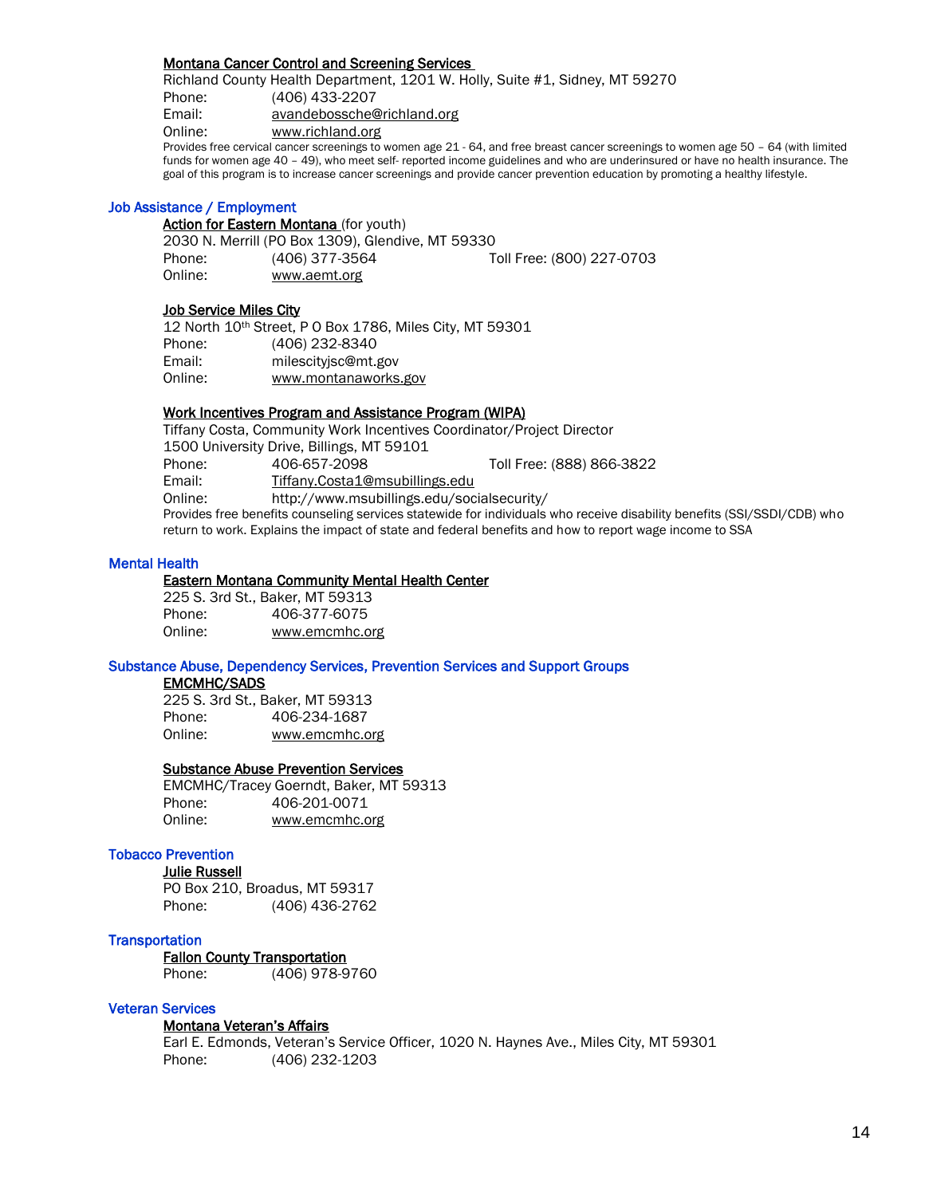## Montana Cancer Control and Screening Services

Richland County Health Department, 1201 W. Holly, Suite #1, Sidney, MT 59270 Phone: (406) 433-2207 Email: [avandebossche@richland.org](mailto:avandebossche@richland.org) Online: [www.richland.org](http://www.richland.org/)

Provides free cervical cancer screenings to women age 21 - 64, and free breast cancer screenings to women age 50 – 64 (with limited funds for women age 40 – 49), who meet self- reported income guidelines and who are underinsured or have no health insurance. The goal of this program is to increase cancer screenings and provide cancer prevention education by promoting a healthy lifestyle.

## Job Assistance / Employment

Action for Eastern Montana (for youth)

2030 N. Merrill (PO Box 1309), Glendive, MT 59330 Phone: (406) 377-3564 Toll Free: (800) 227-0703 Online: www.aemt.org

## Job Service Miles City

|         | 12 North 10th Street, P 0 Box 1786, Miles City, MT 59301 |
|---------|----------------------------------------------------------|
| Phone:  | (406) 232-8340                                           |
| Email:  | milescityjsc@mt.gov                                      |
| Online: | www.montanaworks.gov                                     |

## Work Incentives Program and Assistance Program (WIPA)

Tiffany Costa, Community Work Incentives Coordinator/Project Director 1500 University Drive, Billings, MT 59101 Phone: 406-657-2098 Toll Free: (888) 866-3822 Email: [Tiffany.Costa1@msubillings.edu](mailto:Tiffany.Costa1@msubillings.edu) Online: http://www.msubillings.edu/socialsecurity/ Provides free benefits counseling services statewide for individuals who receive disability benefits (SSI/SSDI/CDB) who return to work. Explains the impact of state and federal benefits and how to report wage income to SSA

## Mental Health

## Eastern Montana Community Mental Health Center

225 S. 3rd St., Baker, MT 59313 Phone: 406-377-6075 Online: [www.emcmhc.org](http://www.emcmhc.org/)

## Substance Abuse, Dependency Services, Prevention Services and Support Groups

#### EMCMHC/SADS

225 S. 3rd St., Baker, MT 59313 Phone: 406-234-1687 Online: [www.emcmhc.org](http://www.emcmhc.org/)

## Substance Abuse Prevention Services

EMCMHC/Tracey Goerndt, Baker, MT 59313 Phone: 406-201-0071 Online: [www.emcmhc.org](http://www.emcmhc.org/)

## Tobacco Prevention

Julie Russell PO Box 210, Broadus, MT 59317 Phone: (406) 436-2762

## **Transportation**

 Fallon County Transportation Phone: (406) 978-9760

## Veteran Services

## Montana Veteran's Affairs

Earl E. Edmonds, Veteran's Service Officer, 1020 N. Haynes Ave., Miles City, MT 59301 Phone: (406) 232-1203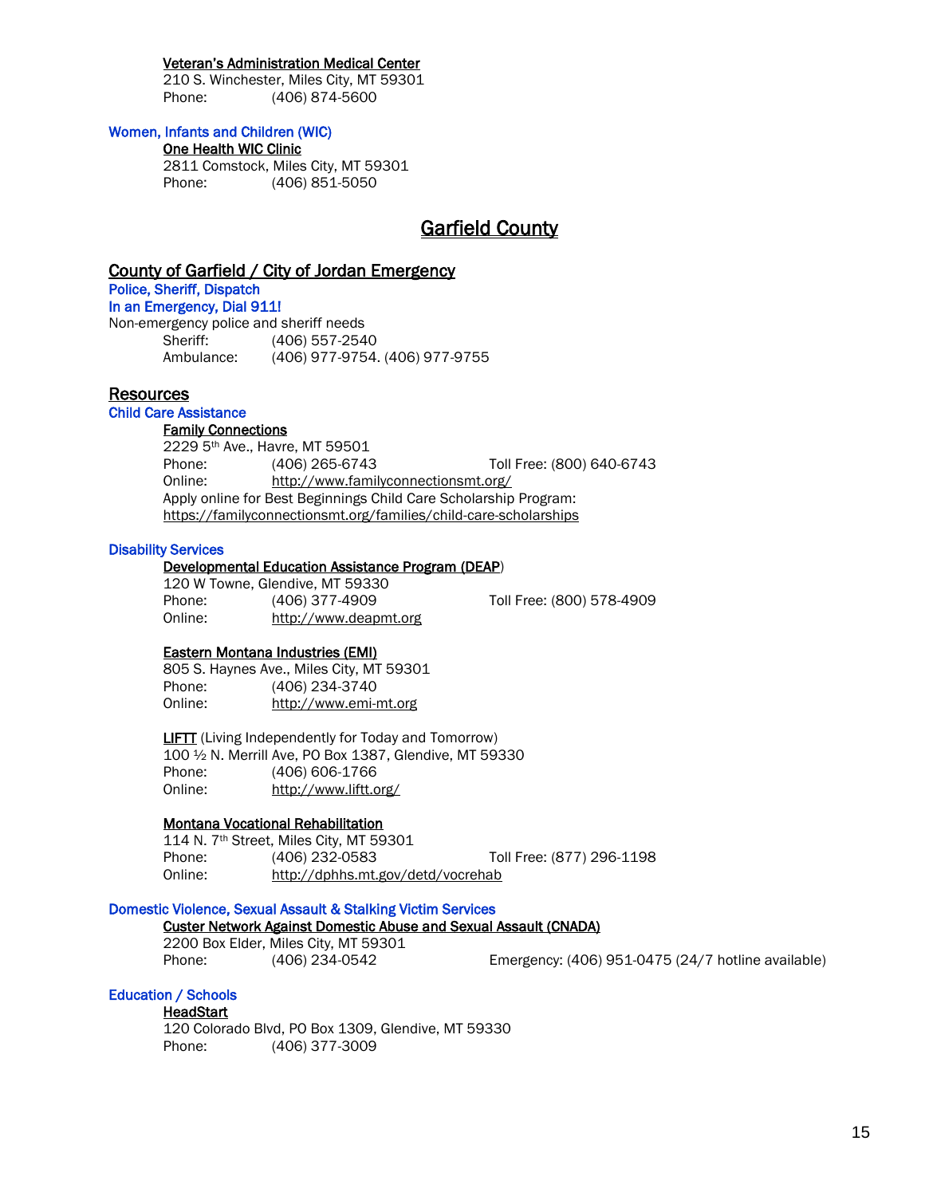## Veteran's Administration Medical Center

210 S. Winchester, Miles City, MT 59301 Phone: (406) 874-5600

## Women, Infants and Children (WIC)

## One Health WIC Clinic

2811 Comstock, Miles City, MT 59301 Phone: (406) 851-5050

# Garfield County

## County of Garfield / City of Jordan Emergency

Police, Sheriff, Dispatch In an Emergency, Dial 911!

Non-emergency police and sheriff needs Sheriff: (406) 557-2540 Ambulance: (406) 977-9754. (406) 977-9755

## Resources

#### Child Care Assistance

#### Family Connections

2229 5th Ave., Havre, MT 59501 Phone: (406) 265-6743 Toll Free: (800) 640-6743 Online: http://www.familyconnectionsmt.org/ Apply online for Best Beginnings Child Care Scholarship Program: https://familyconnectionsmt.org/families/child-care-scholarships

## Disability Services

#### Developmental Education Assistance Program (DEAP)

120 W Towne, Glendive, MT 59330 Phone: (406) 377-4909 Toll Free: (800) 578-4909 Online: http://www.deapmt.org

## Eastern Montana Industries (EMI)

805 S. Haynes Ave., Miles City, MT 59301 Phone: (406) 234-3740 Online: http://www.emi-mt.org

**LIFTT** (Living Independently for Today and Tomorrow) 100 ½ N. Merrill Ave, PO Box 1387, Glendive, MT 59330 (406) 606-1766 Online: <http://www.liftt.org/>

## Montana Vocational Rehabilitation

114 N. 7th Street, Miles City, MT 59301 Phone: (406) 232-0583 Toll Free: (877) 296-1198 Online: http://dphhs.mt.gov/detd/vocrehab

## Domestic Violence, Sexual Assault & Stalking Victim Services

## Custer Network Against Domestic Abuse and Sexual Assault (CNADA)

2200 Box Elder, Miles City, MT 59301

Phone: (406) 234-0542 Emergency: (406) 951-0475 (24/7 hotline available)

## Education / Schools

## **HeadStart**

120 Colorado Blvd, PO Box 1309, Glendive, MT 59330 Phone: (406) 377-3009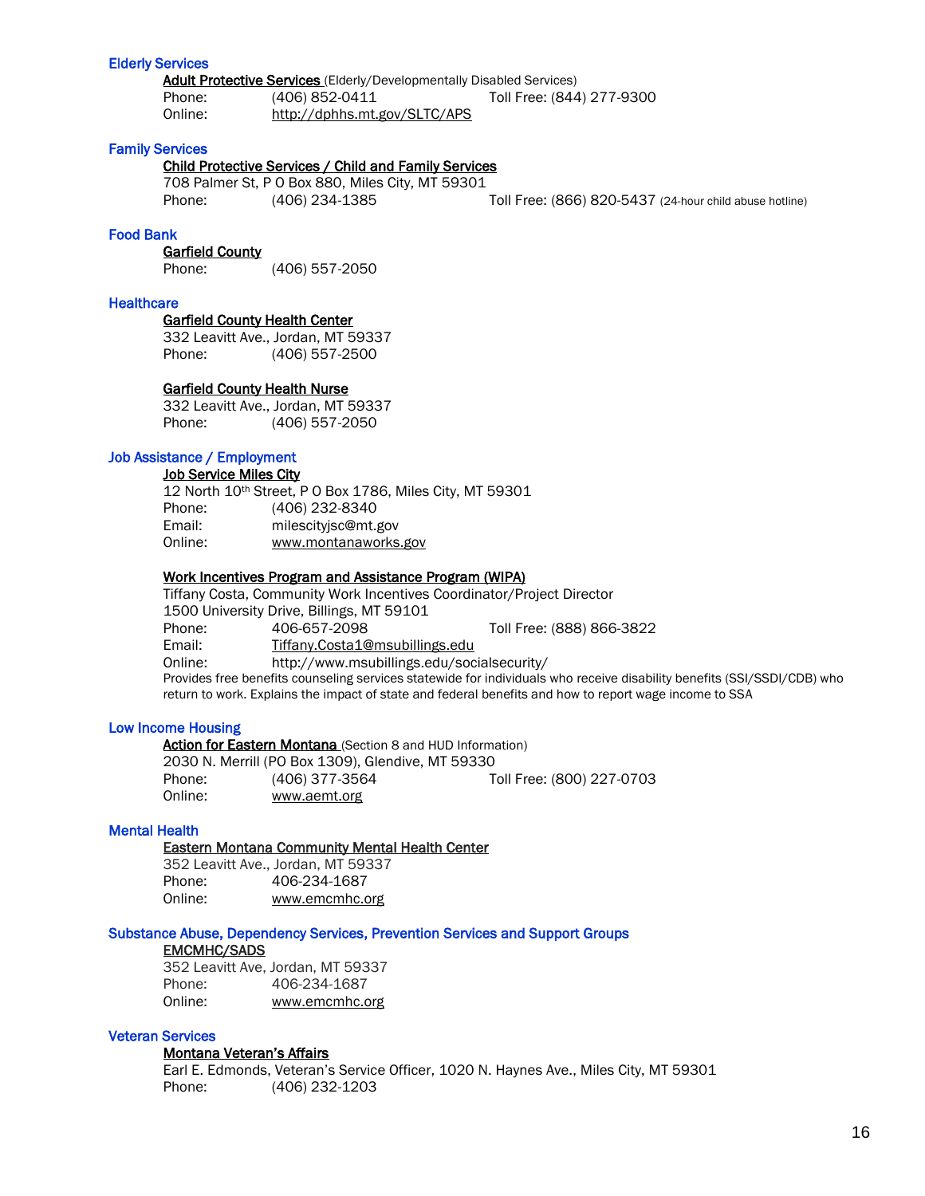## Elderly Services

Adult Protective Services (Elderly/Developmentally Disabled Services) Phone: (406) 852-0411 Toll Free: (844) 277-9300 Online: http://dphhs.mt.gov/SLTC/APS

## Family Services

## Child Protective Services / Child and Family Services

708 Palmer St, P O Box 880, Miles City, MT 59301 Phone: (406) 234-1385 Toll Free: (866) 820-5437 (24-hour child abuse hotline)

## Food Bank

## Garfield County

Phone: (406) 557-2050

#### **Healthcare**

 Garfield County Health Center 332 Leavitt Ave., Jordan, MT 59337

Phone: (406) 557-2500

#### Garfield County Health Nurse

332 Leavitt Ave., Jordan, MT 59337 Phone: (406) 557-2050

## Job Assistance / Employment

**Job Service Miles City** 

|         | 12 North 10th Street, P 0 Box 1786, Miles City, MT 59301 |
|---------|----------------------------------------------------------|
| Phone:  | (406) 232-8340                                           |
| Email:  | milescityisc@mt.gov                                      |
| Online: | www.montanaworks.gov                                     |

#### Work Incentives Program and Assistance Program (WIPA)

Tiffany Costa, Community Work Incentives Coordinator/Project Director 1500 University Drive, Billings, MT 59101 Phone: 406-657-2098 Toll Free: (888) 866-3822 Email: [Tiffany.Costa1@msubillings.edu](mailto:Tiffany.Costa1@msubillings.edu) Online: http://www.msubillings.edu/socialsecurity/ Provides free benefits counseling services statewide for individuals who receive disability benefits (SSI/SSDI/CDB) who return to work. Explains the impact of state and federal benefits and how to report wage income to SSA

#### Low Income Housing

Action for Eastern Montana (Section 8 and HUD Information)

2030 N. Merrill (PO Box 1309), Glendive, MT 59330 Phone: (406) 377-3564 Toll Free: (800) 227-0703 Online: www.aemt.org

## Mental Health

## Eastern Montana Community Mental Health Center

|         | 352 Leavitt Ave., Jordan, MT 59337 |
|---------|------------------------------------|
| Phone:  | 406-234-1687                       |
| Online: | www.emcmhc.org                     |

#### Substance Abuse, Dependency Services, Prevention Services and Support Groups

## EMCMHC/SADS

352 Leavitt Ave, Jordan, MT 59337 Phone: 406-234-1687 Online: [www.emcmhc.org](http://www.emcmhc.org/)

## Veteran Services

## Montana Veteran's Affairs

Earl E. Edmonds, Veteran's Service Officer, 1020 N. Haynes Ave., Miles City, MT 59301 Phone: (406) 232-1203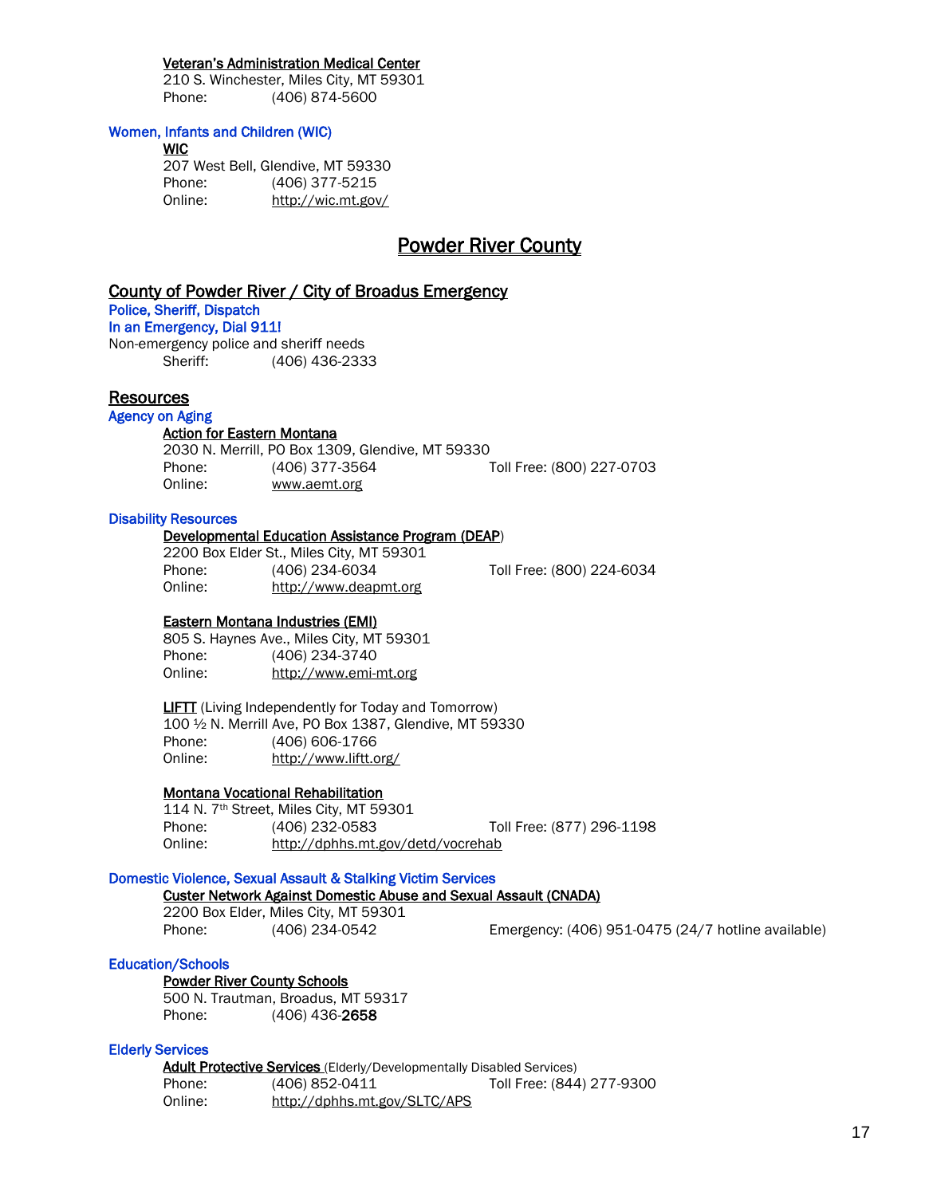## Veteran's Administration Medical Center

210 S. Winchester, Miles City, MT 59301 Phone: (406) 874-5600

## Women, Infants and Children (WIC)

**WIC** 

207 West Bell, Glendive, MT 59330 Phone: (406) 377-5215 Online: http://wic.mt.gov/

# Powder River County

# County of Powder River / City of Broadus Emergency

# Police, Sheriff, Dispatch

In an Emergency, Dial 911!

Non-emergency police and sheriff needs Sheriff: (406) 436-2333

## **Resources**

## Agency on Aging

## Action for Eastern Montana

2030 N. Merrill, PO Box 1309, Glendive, MT 59330 Phone: (406) 377-3564 Toll Free: (800) 227-0703 Online: www.aemt.org

## Disability Resources

## Developmental Education Assistance Program (DEAP)

2200 Box Elder St., Miles City, MT 59301 Phone: (406) 234-6034 Toll Free: (800) 224-6034 Online: [http://www.deapmt.org](http://www.deapmt.org/)

## Eastern Montana Industries (EMI)

805 S. Haynes Ave., Miles City, MT 59301 Phone: (406) 234-3740 Online: http://www.emi-mt.org

**LIFTT** (Living Independently for Today and Tomorrow) 100 ½ N. Merrill Ave, PO Box 1387, Glendive, MT 59330 Phone: (406) 606-1766 Online: <http://www.liftt.org/>

## Montana Vocational Rehabilitation

114 N. 7th Street, Miles City, MT 59301 Phone: (406) 232-0583 Toll Free: (877) 296-1198 Online: http://dphhs.mt.gov/detd/vocrehab

## Domestic Violence, Sexual Assault & Stalking Victim Services

## Custer Network Against Domestic Abuse and Sexual Assault (CNADA)

2200 Box Elder, Miles City, MT 59301

Phone: (406) 234-0542 Emergency: (406) 951-0475 (24/7 hotline available)

## Education/Schools

## Powder River County Schools

 500 N. Trautman, Broadus, MT 59317 Phone: (406) 436-2658

## Elderly Services

Adult Protective Services (Elderly/Developmentally Disabled Services) Phone: (406) 852-0411 Toll Free: (844) 277-9300 Online: http://dphhs.mt.gov/SLTC/APS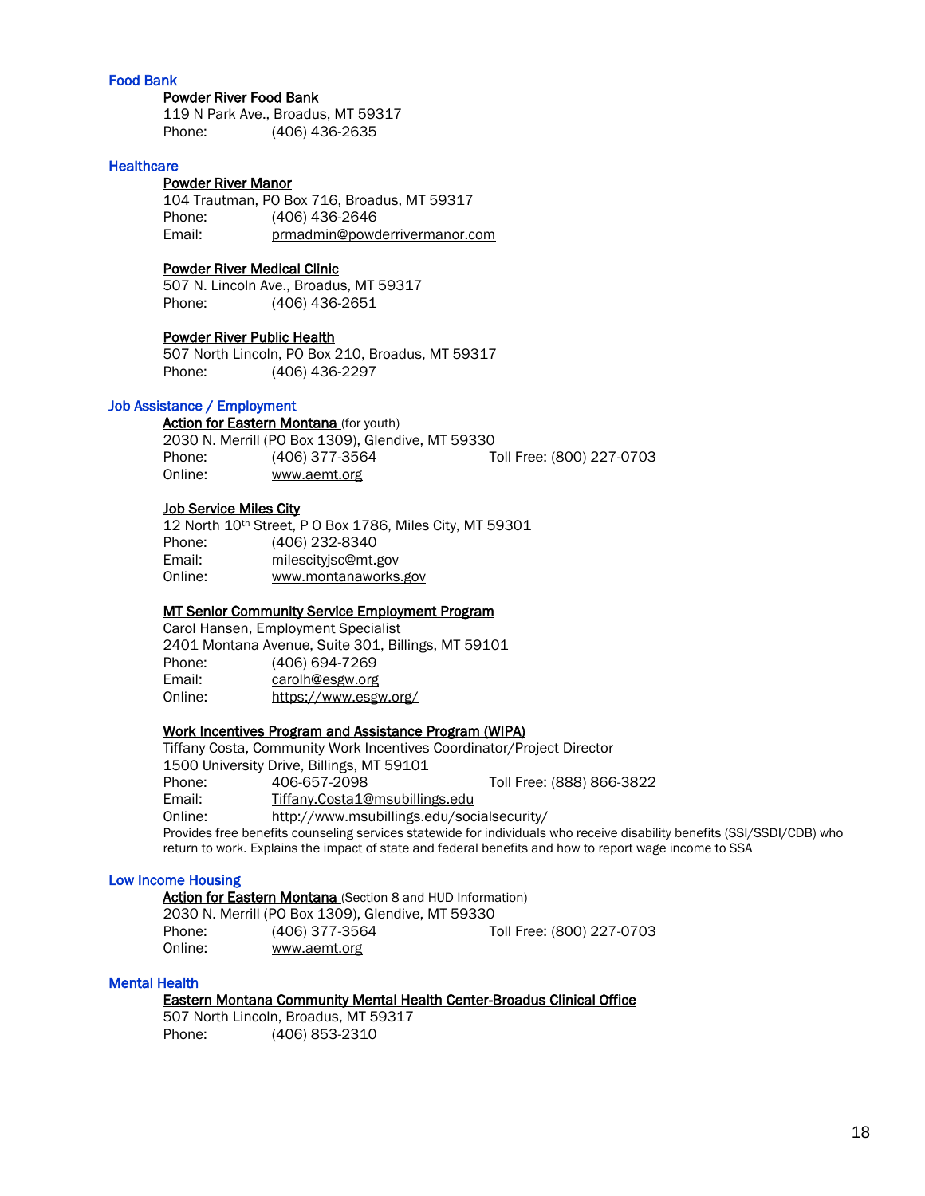## Food Bank

## Powder River Food Bank

119 N Park Ave., Broadus, MT 59317 Phone: (406) 436-2635

## **Healthcare**

# Powder River Manor

104 Trautman, PO Box 716, Broadus, MT 59317 Phone: (406) 436-2646 Email: prmadmin@powderrivermanor.com

## Powder River Medical Clinic

507 N. Lincoln Ave., Broadus, MT 59317 Phone: (406) 436-2651

## Powder River Public Health

507 North Lincoln, PO Box 210, Broadus, MT 59317 Phone: (406) 436-2297

## Job Assistance / Employment

**Action for Eastern Montana** (for youth) 2030 N. Merrill (PO Box 1309), Glendive, MT 59330 Phone: (406) 377-3564 Toll Free: (800) 227-0703 Online: www.aemt.org

#### Job Service Miles City

12 North 10th Street, P O Box 1786, Miles City, MT 59301 Phone: (406) 232-8340 Email: milescityjsc@mt.gov Online: www.montanaworks.gov

## MT Senior Community Service Employment Program

Carol Hansen, Employment Specialist 2401 Montana Avenue, Suite 301, Billings, MT 59101 Phone: (406) 694-7269 Email: [carolh@esgw.org](mailto:carolh@esgw.org) Online: <https://www.esgw.org/>

## Work Incentives Program and Assistance Program (WIPA)

Tiffany Costa, Community Work Incentives Coordinator/Project Director 1500 University Drive, Billings, MT 59101 Phone: 406-657-2098 Toll Free: (888) 866-3822 Email: [Tiffany.Costa1@msubillings.edu](mailto:Tiffany.Costa1@msubillings.edu) Online: http://www.msubillings.edu/socialsecurity/ Provides free benefits counseling services statewide for individuals who receive disability benefits (SSI/SSDI/CDB) who return to work. Explains the impact of state and federal benefits and how to report wage income to SSA

## Low Income Housing

Action for Eastern Montana (Section 8 and HUD Information) 2030 N. Merrill (PO Box 1309), Glendive, MT 59330 Phone: (406) 377-3564 Toll Free: (800) 227-0703 Online: www.aemt.org

#### Mental Health

## Eastern Montana Community Mental Health Center-Broadus Clinical Office

507 North Lincoln, Broadus, MT 59317 Phone: (406) 853-2310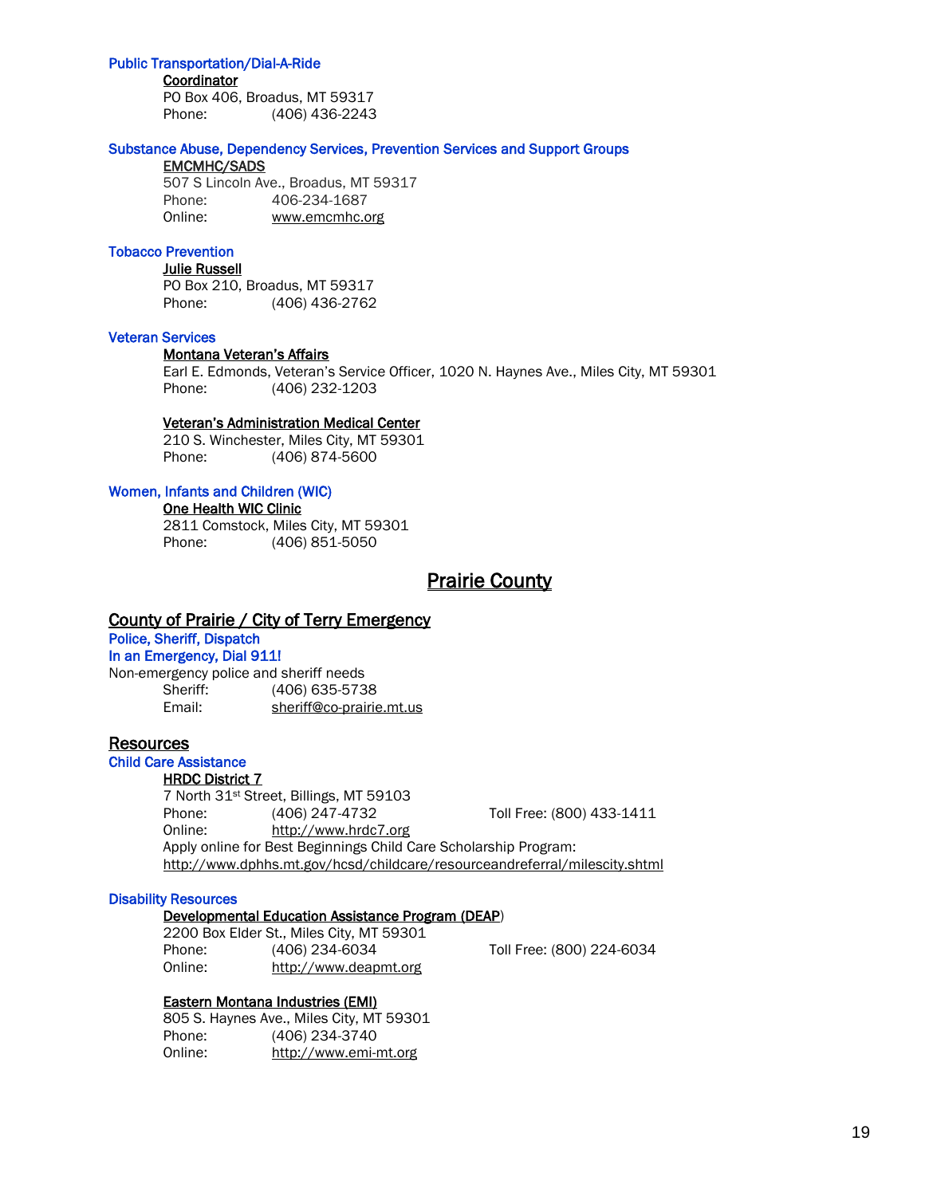## Public Transportation/Dial-A-Ride

#### **Coordinator**

PO Box 406, Broadus, MT 59317 Phone: (406) 436-2243

## Substance Abuse, Dependency Services, Prevention Services and Support Groups

# EMCMHC/SADS

507 S Lincoln Ave., Broadus, MT 59317 Phone: 406-234-1687 Online: [www.emcmhc.org](http://www.emcmhc.org/)

## Tobacco Prevention

Julie Russell PO Box 210, Broadus, MT 59317 Phone: (406) 436-2762

## Veteran Services

#### Montana Veteran's Affairs

Earl E. Edmonds, Veteran's Service Officer, 1020 N. Haynes Ave., Miles City, MT 59301 Phone: (406) 232-1203

## Veteran's Administration Medical Center

210 S. Winchester, Miles City, MT 59301 Phone: (406) 874-5600

## Women, Infants and Children (WIC)

One Health WIC Clinic

2811 Comstock, Miles City, MT 59301 Phone: (406) 851-5050

# **Prairie County**

## County of Prairie / City of Terry Emergency

Police, Sheriff, Dispatch

## In an Emergency, Dial 911!

Non-emergency police and sheriff needs Sheriff: (406) 635-5738

Email: [sheriff@co-prairie.mt.us](mailto:sheriff@co-prairie.mt.us)

## **Resources**

# Child Care Assistance

HRDC District 7

7 North 31st Street, Billings, MT 59103 Phone: (406) 247-4732 Toll Free: (800) 433-1411 Online: [http://www.hrdc7.org](http://www.hrdc7.org/) Apply online for Best Beginnings Child Care Scholarship Program: <http://www.dphhs.mt.gov/hcsd/childcare/resourceandreferral/milescity.shtml>

## Disability Resources

## Developmental Education Assistance Program (DEAP)

2200 Box Elder St., Miles City, MT 59301 Phone: (406) 234-6034 Toll Free: (800) 224-6034 Online: [http://www.deapmt.org](http://www.deapmt.org/)

## Eastern Montana Industries (EMI)

805 S. Haynes Ave., Miles City, MT 59301 Phone: (406) 234-3740 Online: http://www.emi-mt.org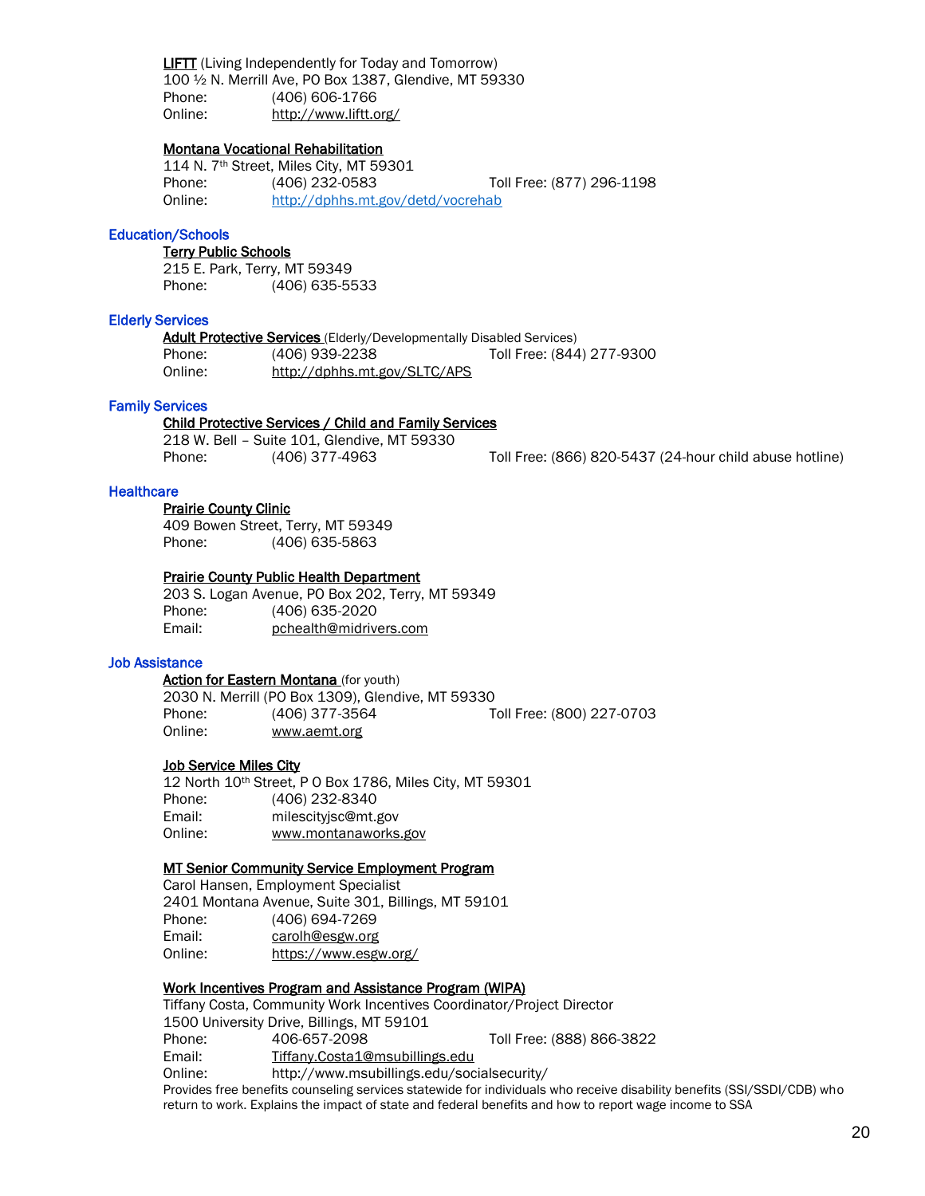LIFTT (Living Independently for Today and Tomorrow) 100 ½ N. Merrill Ave, PO Box 1387, Glendive, MT 59330 Phone: (406) 606-1766 Online: <http://www.liftt.org/>

## Montana Vocational Rehabilitation

114 N. 7th Street, Miles City, MT 59301 Phone: (406) 232-0583 Toll Free: (877) 296-1198 Online: <http://dphhs.mt.gov/detd/vocrehab>

## Education/Schools

## Terry Public Schools

215 E. Park, Terry, MT 59349 Phone: (406) 635-5533

#### Elderly Services

Adult Protective Services (Elderly/Developmentally Disabled Services) Phone: (406) 939-2238 Toll Free: (844) 277-9300 Online: http://dphhs.mt.gov/SLTC/APS

# Family Services

## Child Protective Services / Child and Family Services

218 W. Bell – Suite 101, Glendive, MT 59330

Phone: (406) 377-4963 Toll Free: (866) 820-5437 (24-hour child abuse hotline)

## **Healthcare**

## Prairie County Clinic

409 Bowen Street, Terry, MT 59349 Phone: (406) 635-5863

#### Prairie County Public Health Department

203 S. Logan Avenue, PO Box 202, Terry, MT 59349 Phone: (406) 635-2020 Email: pchealth@midrivers.com

## Job Assistance

Action for Eastern Montana (for youth) 2030 N. Merrill (PO Box 1309), Glendive, MT 59330 Phone: (406) 377-3564 Toll Free: (800) 227-0703 Online: www.aemt.org

#### **Job Service Miles City**

12 North 10th Street, P O Box 1786, Miles City, MT 59301 Phone: (406) 232-8340 Email: milescityjsc@mt.gov Online: www.montanaworks.gov

## MT Senior Community Service Employment Program

Carol Hansen, Employment Specialist 2401 Montana Avenue, Suite 301, Billings, MT 59101 Phone: (406) 694-7269 Email: [carolh@esgw.org](mailto:carolh@esgw.org) Online: <https://www.esgw.org/>

## Work Incentives Program and Assistance Program (WIPA)

Tiffany Costa, Community Work Incentives Coordinator/Project Director 1500 University Drive, Billings, MT 59101 Phone: 406-657-2098 Toll Free: (888) 866-3822 Email: [Tiffany.Costa1@msubillings.edu](mailto:Tiffany.Costa1@msubillings.edu) Online: http://www.msubillings.edu/socialsecurity/

Provides free benefits counseling services statewide for individuals who receive disability benefits (SSI/SSDI/CDB) who return to work. Explains the impact of state and federal benefits and how to report wage income to SSA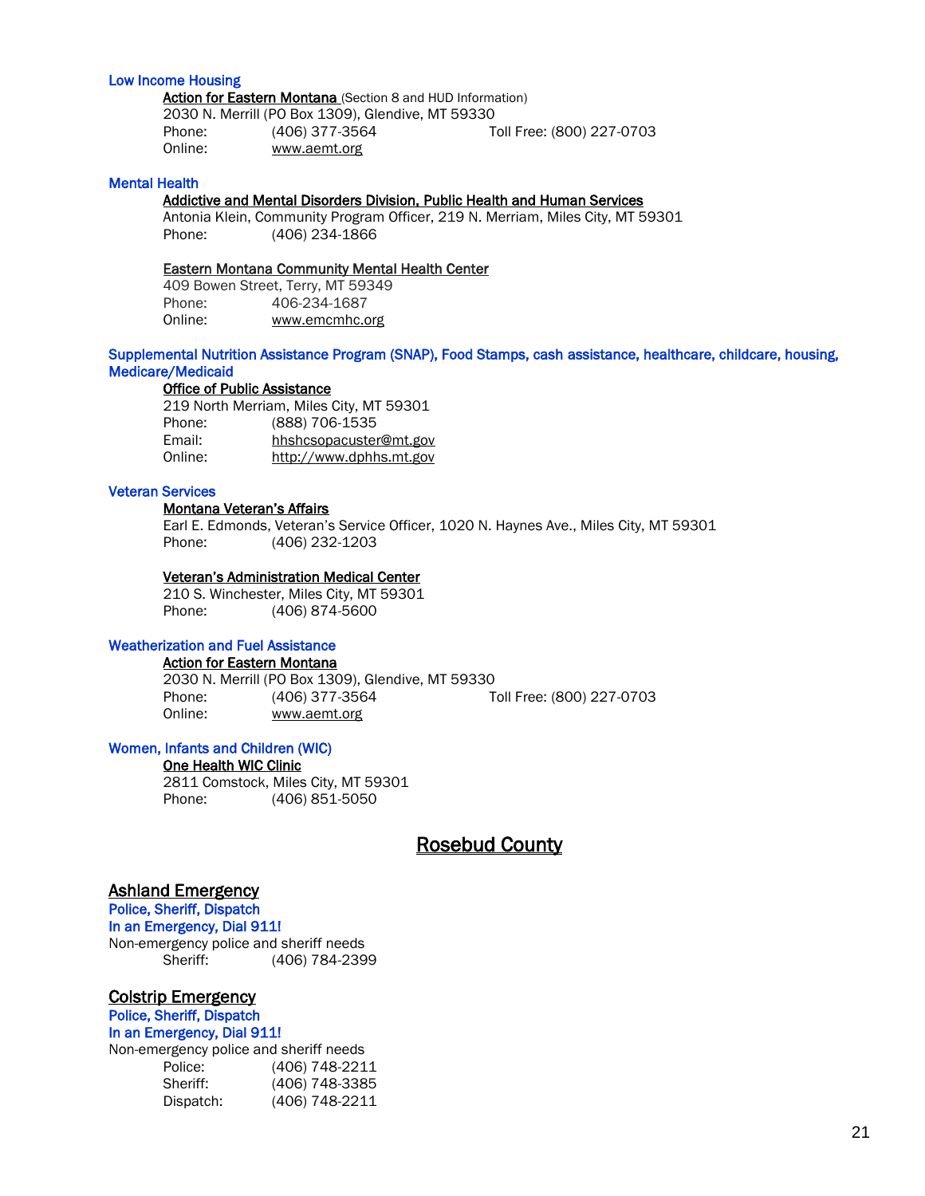## Low Income Housing

Action for Eastern Montana (Section 8 and HUD Information) 2030 N. Merrill (PO Box 1309), Glendive, MT 59330 Phone: (406) 377-3564 Toll Free: (800) 227-0703 Online: www.aemt.org

## Mental Health

## Addictive and Mental Disorders Division, Public Health and Human Services

Antonia Klein, Community Program Officer, 219 N. Merriam, Miles City, MT 59301 Phone: (406) 234-1866

## Eastern Montana Community Mental Health Center

409 Bowen Street, Terry, MT 59349 Phone: 406-234-1687 Online: [www.emcmhc.org](http://www.emcmhc.org/)

## Supplemental Nutrition Assistance Program (SNAP), Food Stamps, cash assistance, healthcare, childcare, housing, Medicare/Medicaid

## Office of Public Assistance

219 North Merriam, Miles City, MT 59301 Phone: (888) 706-1535 Email: [hhshcsopacuster@mt.gov](mailto:hhshcsopacuster@mt.gov)<br>Online: http://www.dphhs.mt.gov [http://www.dphhs.mt.gov](http://www.dphhs.mt.gov/)

## Veteran Services

#### Montana Veteran's Affairs

Earl E. Edmonds, Veteran's Service Officer, 1020 N. Haynes Ave., Miles City, MT 59301 Phone: (406) 232-1203

#### Veteran's Administration Medical Center

210 S. Winchester, Miles City, MT 59301 Phone: (406) 874-5600

#### Weatherization and Fuel Assistance

Action for Eastern Montana

2030 N. Merrill (PO Box 1309), Glendive, MT 59330 Phone: (406) 377-3564 Toll Free: (800) 227-0703 Online: www.aemt.org

# Women, Infants and Children (WIC)

One Health WIC Clinic

2811 Comstock, Miles City, MT 59301 Phone: (406) 851-5050

# Rosebud County

# Ashland Emergency

Police, Sheriff, Dispatch In an Emergency, Dial 911! Non-emergency police and sheriff needs Sheriff: (406) 784-2399

## Colstrip Emergency

# Police, Sheriff, Dispatch

In an Emergency, Dial 911!

Non-emergency police and sheriff needs Police: (406) 748-2211 Sheriff: (406) 748-3385 Dispatch: (406) 748-2211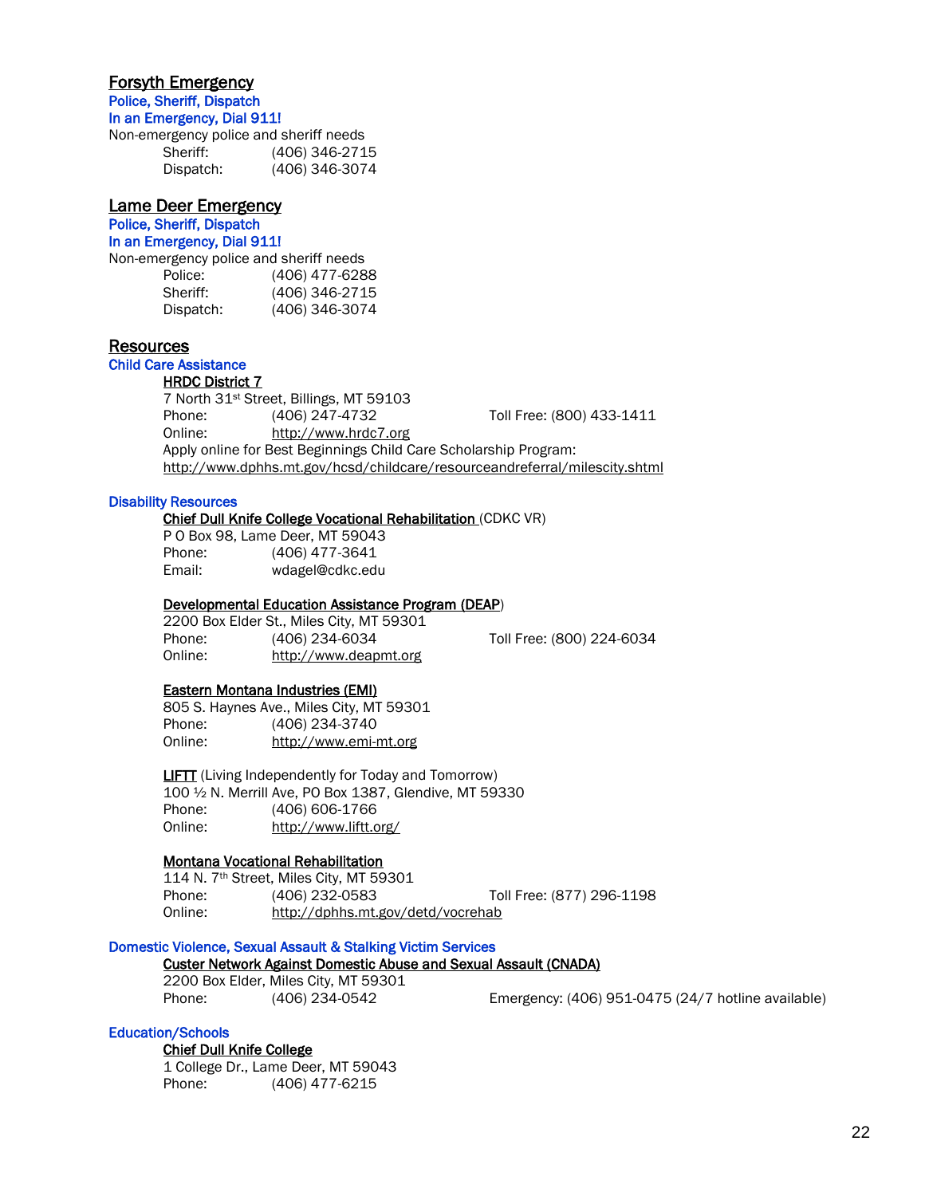# Forsyth Emergency

Police, Sheriff, Dispatch In an Emergency, Dial 911!

Non-emergency police and sheriff needs Sheriff: (406) 346-2715 Dispatch: (406) 346-3074

# Lame Deer Emergency

Police, Sheriff, Dispatch In an Emergency, Dial 911!

Non-emergency police and sheriff needs

| Police:   | (406) 477-6288 |
|-----------|----------------|
| Sheriff:  | (406) 346-2715 |
| Dispatch: | (406) 346-3074 |

# Resources

# Child Care Assistance

## **HRDC District 7**

7 North 31st Street, Billings, MT 59103 Phone: (406) 247-4732 Toll Free: (800) 433-1411 Online: [http://www.hrdc7.org](http://www.hrdc7.org/) Apply online for Best Beginnings Child Care Scholarship Program: <http://www.dphhs.mt.gov/hcsd/childcare/resourceandreferral/milescity.shtml>

## Disability Resources

## Chief Dull Knife College Vocational Rehabilitation (CDKC VR)

P O Box 98, Lame Deer, MT 59043 Phone: (406) 477-3641 Email: wdagel@cdkc.edu

## Developmental Education Assistance Program (DEAP)

2200 Box Elder St., Miles City, MT 59301 Phone: (406) 234-6034 Toll Free: (800) 224-6034 Online: [http://www.deapmt.org](http://www.deapmt.org/)

## Eastern Montana Industries (EMI)

805 S. Haynes Ave., Miles City, MT 59301 Phone: (406) 234-3740 Online: http://www.emi-mt.org

 LIFTT (Living Independently for Today and Tomorrow) 100 ½ N. Merrill Ave, PO Box 1387, Glendive, MT 59330 Phone: (406) 606-1766 Online: <http://www.liftt.org/>

# Montana Vocational Rehabilitation

114 N. 7th Street, Miles City, MT 59301 Phone: (406) 232-0583 Toll Free: (877) 296-1198 Online: http://dphhs.mt.gov/detd/vocrehab

## Domestic Violence, Sexual Assault & Stalking Victim Services

# Custer Network Against Domestic Abuse and Sexual Assault (CNADA)

2200 Box Elder, Miles City, MT 59301

Phone: (406) 234-0542 Emergency: (406) 951-0475 (24/7 hotline available)

## Education/Schools

## Chief Dull Knife College

1 College Dr., Lame Deer, MT 59043 Phone: (406) 477-6215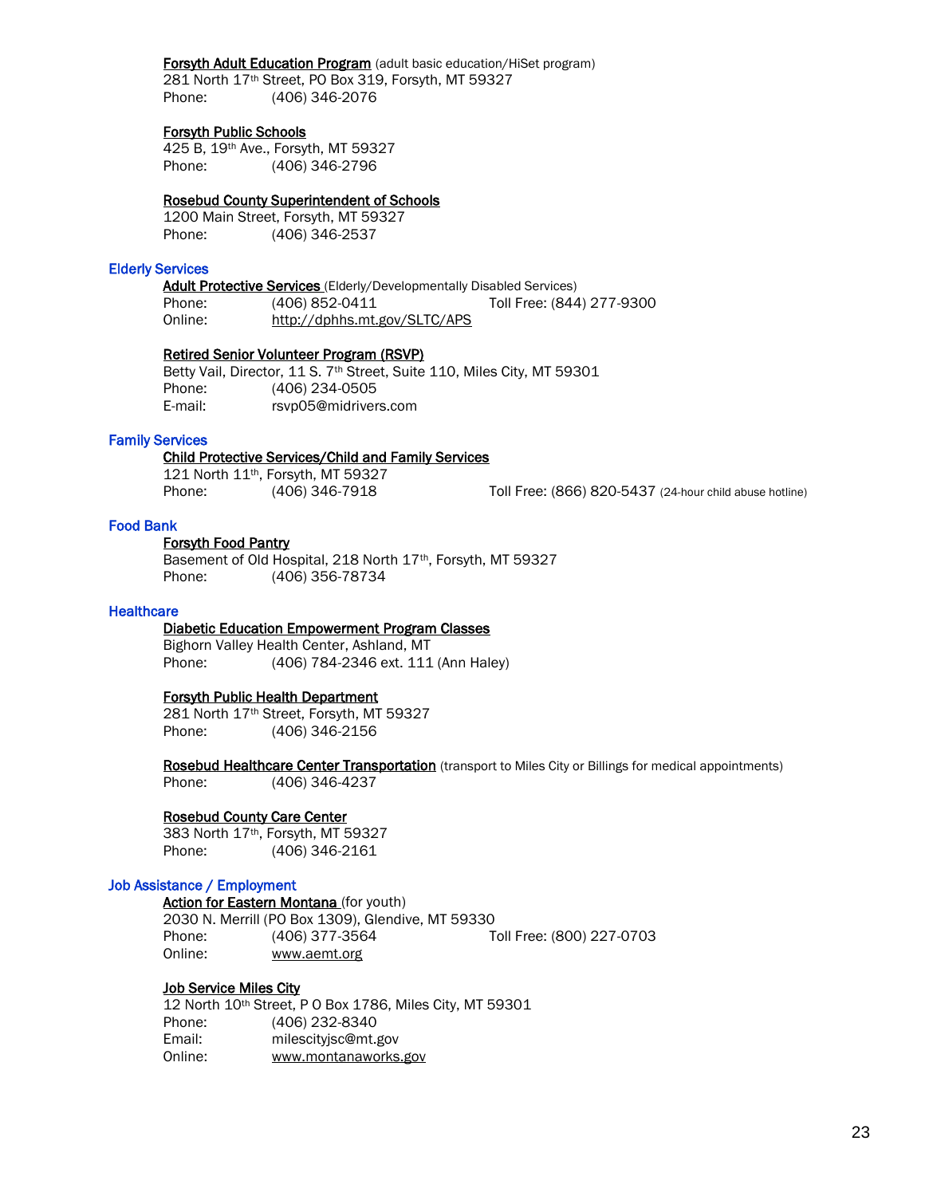## Forsyth Adult Education Program (adult basic education/HiSet program)

 281 North 17th Street, PO Box 319, Forsyth, MT 59327 Phone: (406) 346-2076

## Forsyth Public Schools

425 B, 19th Ave., Forsyth, MT 59327 Phone: (406) 346-2796

## Rosebud County Superintendent of Schools

1200 Main Street, Forsyth, MT 59327 Phone: (406) 346-2537

## Elderly Services

**Adult Protective Services** (Elderly/Developmentally Disabled Services) Phone: (406) 852-0411 Toll Free: (844) 277-9300 Online: http://dphhs.mt.gov/SLTC/APS

## Retired Senior Volunteer Program (RSVP)

Betty Vail, Director, 11 S. 7<sup>th</sup> Street, Suite 110, Miles City, MT 59301 Phone: (406) 234-0505 E-mail: [rsvp05@midrivers.com](mailto:rsvp05@midrivers.com)

## Family Services

## Child Protective Services/Child and Family Services

121 North 11th, Forsyth, MT 59327

Phone: (406) 346-7918 Toll Free: (866) 820-5437 (24-hour child abuse hotline)

## Food Bank

## Forsyth Food Pantry

 Basement of Old Hospital, 218 North 17th, Forsyth, MT 59327 Phone: (406) 356-78734

## **Healthcare**

## Diabetic Education Empowerment Program Classes

Bighorn Valley Health Center, Ashland, MT Phone: (406) 784-2346 ext. 111 (Ann Haley)

## Forsyth Public Health Department

 281 North 17th Street, Forsyth, MT 59327 Phone: (406) 346-2156

Rosebud Healthcare Center Transportation (transport to Miles City or Billings for medical appointments) Phone: (406) 346-4237

## Rosebud County Care Center

383 North 17th, Forsyth, MT 59327 Phone: (406) 346-2161

## Job Assistance / Employment

Action for Eastern Montana (for youth) 2030 N. Merrill (PO Box 1309), Glendive, MT 59330 Phone: (406) 377-3564 Toll Free: (800) 227-0703 Online: www.aemt.org

## Job Service Miles City

12 North 10th Street, P O Box 1786, Miles City, MT 59301 Phone: (406) 232-8340 Email: milescityjsc@mt.gov Online: www.montanaworks.gov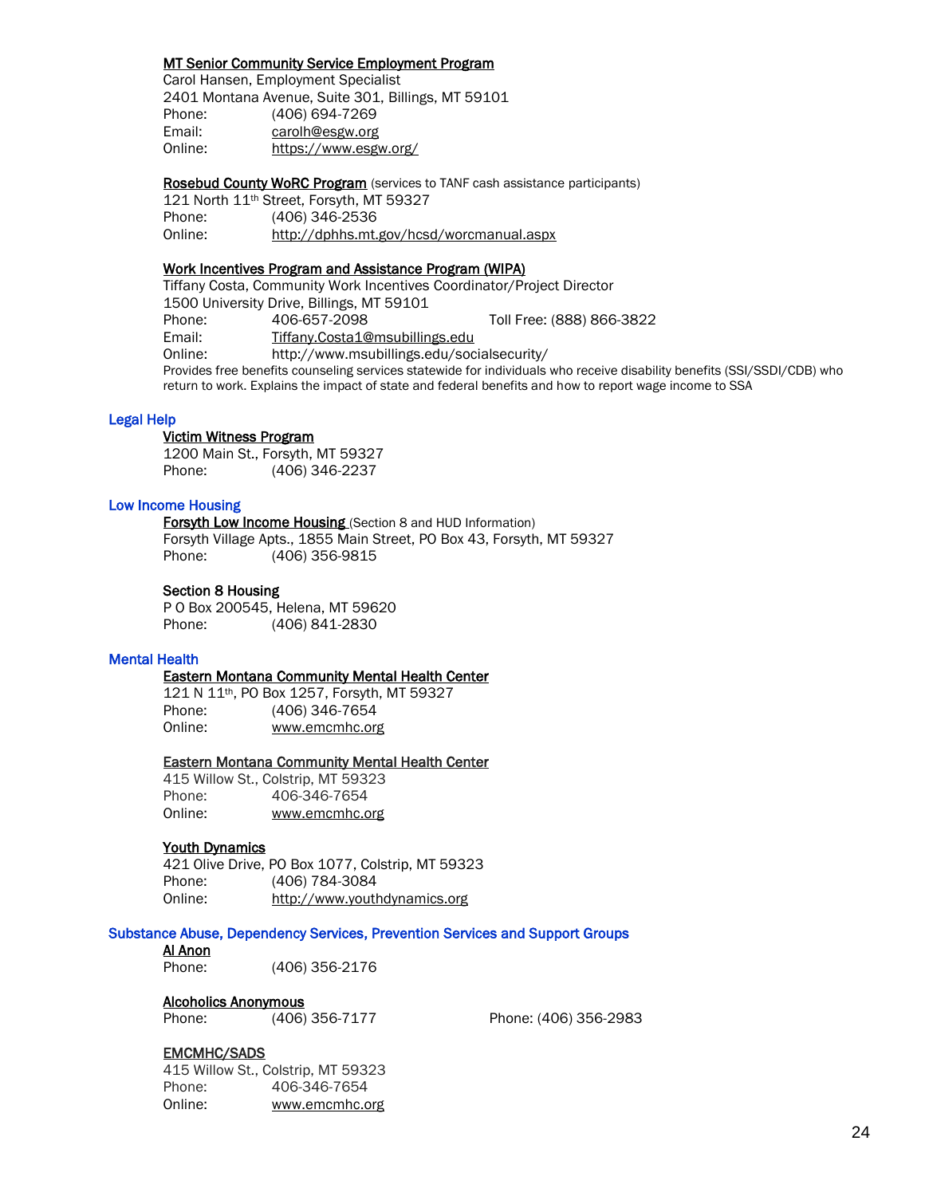## MT Senior Community Service Employment Program

Carol Hansen, Employment Specialist 2401 Montana Avenue, Suite 301, Billings, MT 59101 Phone: (406) 694-7269 Email: [carolh@esgw.org](mailto:carolh@esgw.org) Online: <https://www.esgw.org/>

Rosebud County WoRC Program (services to TANF cash assistance participants) 121 North 11th Street, Forsyth, MT 59327 Phone: (406) 346-2536 Online: http://dphhs.mt.gov/hcsd/worcmanual.aspx

## Work Incentives Program and Assistance Program (WIPA)

Tiffany Costa, Community Work Incentives Coordinator/Project Director 1500 University Drive, Billings, MT 59101 Phone: 406-657-2098 Toll Free: (888) 866-3822 Email: [Tiffany.Costa1@msubillings.edu](mailto:Tiffany.Costa1@msubillings.edu) Online: http://www.msubillings.edu/socialsecurity/ Provides free benefits counseling services statewide for individuals who receive disability benefits (SSI/SSDI/CDB) who return to work. Explains the impact of state and federal benefits and how to report wage income to SSA

## Legal Help

## Victim Witness Program

 1200 Main St., Forsyth, MT 59327 Phone: (406) 346-2237

## Low Income Housing

Forsyth Low Income Housing (Section 8 and HUD Information)

Forsyth Village Apts., 1855 Main Street, PO Box 43, Forsyth, MT 59327 Phone: (406) 356-9815

## Section 8 Housing

P O Box 200545, Helena, MT 59620 Phone: (406) 841-2830

## Mental Health

## Eastern Montana Community Mental Health Center

121 N 11th, PO Box 1257, Forsyth, MT 59327 Phone: (406) 346-7654 Online: [www.emcmhc.org](http://www.emcmhc.org/)

## Eastern Montana Community Mental Health Center

415 Willow St., Colstrip, MT 59323 Phone: 406-346-7654 Online: [www.emcmhc.org](http://www.emcmhc.org/)

## Youth Dynamics

421 Olive Drive, PO Box 1077, Colstrip, MT 59323 Phone: (406) 784-3084 Online: http://www.youthdynamics.org

## Substance Abuse, Dependency Services, Prevention Services and Support Groups

## Al Anon

Phone: (406) 356-2176

## Alcoholics Anonymous

Phone: (406) 356-7177 Phone: (406) 356-2983

## EMCMHC/SADS

415 Willow St., Colstrip, MT 59323 Phone: 406-346-7654 Online: [www.emcmhc.org](http://www.emcmhc.org/)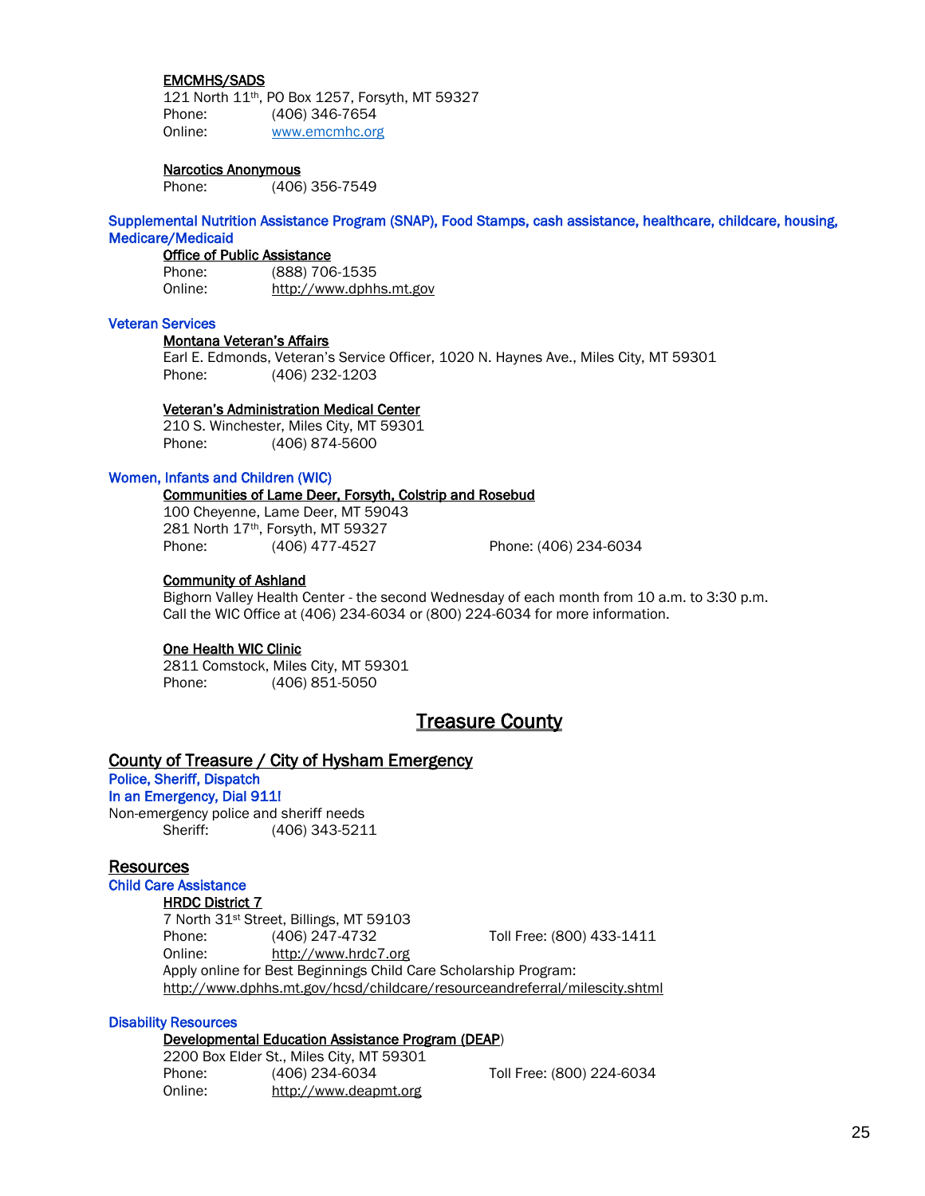## EMCMHS/SADS

 121 North 11th, PO Box 1257, Forsyth, MT 59327 Phone: (406) 346-7654 Online: [www.emcmhc.org](http://www.emcmhc.org/)

## Narcotics Anonymous

Phone: (406) 356-7549

Supplemental Nutrition Assistance Program (SNAP), Food Stamps, cash assistance, healthcare, childcare, housing, Medicare/Medicaid

#### Office of Public Assistance

Phone: (888) 706-1535 Online: [http://www.dphhs.mt.gov](http://www.dphhs.mt.gov/)

## Veteran Services

#### Montana Veteran's Affairs

Earl E. Edmonds, Veteran's Service Officer, 1020 N. Haynes Ave., Miles City, MT 59301 Phone: (406) 232-1203

## Veteran's Administration Medical Center

210 S. Winchester, Miles City, MT 59301 Phone: (406) 874-5600

#### Women, Infants and Children (WIC)

## Communities of Lame Deer, Forsyth, Colstrip and Rosebud

100 Cheyenne, Lame Deer, MT 59043 281 North 17th, Forsyth, MT 59327 Phone: (406) 477-4527 Phone: (406) 234-6034

## Community of Ashland

Bighorn Valley Health Center - the second Wednesday of each month from 10 a.m. to 3:30 p.m. Call the WIC Office at (406) 234-6034 or (800) 224-6034 for more information.

#### One Health WIC Clinic

2811 Comstock, Miles City, MT 59301 Phone: (406) 851-5050

# **Treasure County**

## County of Treasure / City of Hysham Emergency

# Police, Sheriff, Dispatch

In an Emergency, Dial 911! Non-emergency police and sheriff needs

Sheriff: (406) 343-5211

## **Resources**

## Child Care Assistance

## HRDC District 7

7 North 31st Street, Billings, MT 59103 Phone: (406) 247-4732 Toll Free: (800) 433-1411 Online: [http://www.hrdc7.org](http://www.hrdc7.org/) Apply online for Best Beginnings Child Care Scholarship Program:

<http://www.dphhs.mt.gov/hcsd/childcare/resourceandreferral/milescity.shtml>

## Disability Resources

#### Developmental Education Assistance Program (DEAP)

2200 Box Elder St., Miles City, MT 59301 Phone: (406) 234-6034 Toll Free: (800) 224-6034 Online: [http://www.deapmt.org](http://www.deapmt.org/)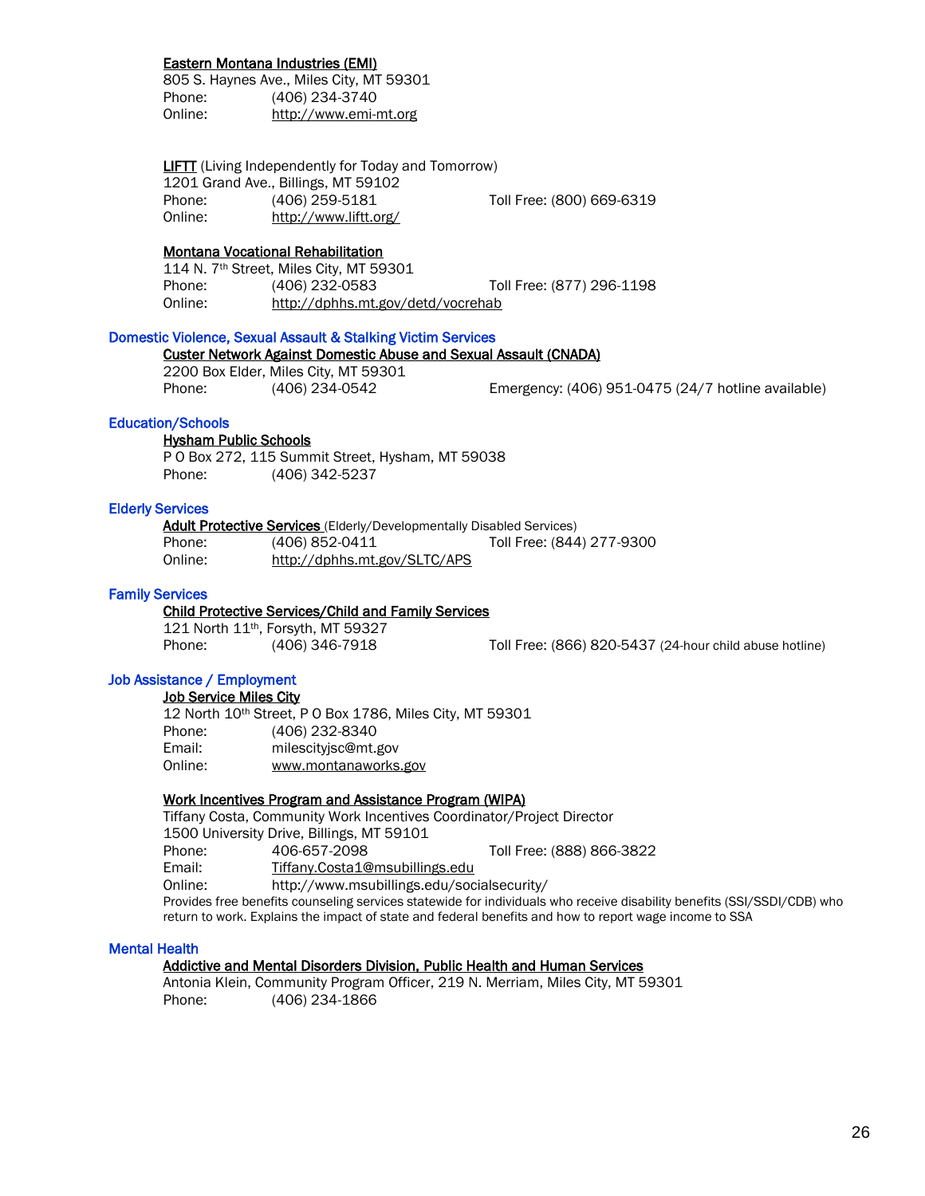## Eastern Montana Industries (EMI)

805 S. Haynes Ave., Miles City, MT 59301 Phone: (406) 234-3740 Online: http://www.emi-mt.org

**LIFTT** (Living Independently for Today and Tomorrow) 1201 Grand Ave., Billings, MT 59102 Phone: (406) 259-5181 Toll Free: (800) 669-6319 Online: <http://www.liftt.org/>

## Montana Vocational Rehabilitation

114 N. 7th Street, Miles City, MT 59301 Phone: (406) 232-0583 Toll Free: (877) 296-1198 Online: http://dphhs.mt.gov/detd/vocrehab

## Domestic Violence, Sexual Assault & Stalking Victim Services

## Custer Network Against Domestic Abuse and Sexual Assault (CNADA)

2200 Box Elder, Miles City, MT 59301

Phone: (406) 234-0542 Emergency: (406) 951-0475 (24/7 hotline available)

## Education/Schools

 Hysham Public Schools P O Box 272, 115 Summit Street, Hysham, MT 59038 Phone: (406) 342-5237

## Elderly Services

Adult Protective Services (Elderly/Developmentally Disabled Services) Phone: (406) 852-0411 Toll Free: (844) 277-9300 Online: http://dphhs.mt.gov/SLTC/APS

## Family Services

## Child Protective Services/Child and Family Services

121 North 11<sup>th</sup>, Forsyth, MT 59327<br>Phone: (406) 346-7918

Phone: (406) 346-7918 Toll Free: (866) 820-5437 (24-hour child abuse hotline)

## Job Assistance / Employment

## Job Service Miles City

12 North 10th Street, P O Box 1786, Miles City, MT 59301 Phone: (406) 232-8340 Email: milescityjsc@mt.gov Online: www.montanaworks.gov

## Work Incentives Program and Assistance Program (WIPA)

Tiffany Costa, Community Work Incentives Coordinator/Project Director 1500 University Drive, Billings, MT 59101 Phone: 406-657-2098 Toll Free: (888) 866-3822 Email: [Tiffany.Costa1@msubillings.edu](mailto:Tiffany.Costa1@msubillings.edu) Online: http://www.msubillings.edu/socialsecurity/ Provides free benefits counseling services statewide for individuals who receive disability benefits (SSI/SSDI/CDB) who return to work. Explains the impact of state and federal benefits and how to report wage income to SSA

## Mental Health

## Addictive and Mental Disorders Division, Public Health and Human Services

Antonia Klein, Community Program Officer, 219 N. Merriam, Miles City, MT 59301 Phone: (406) 234-1866